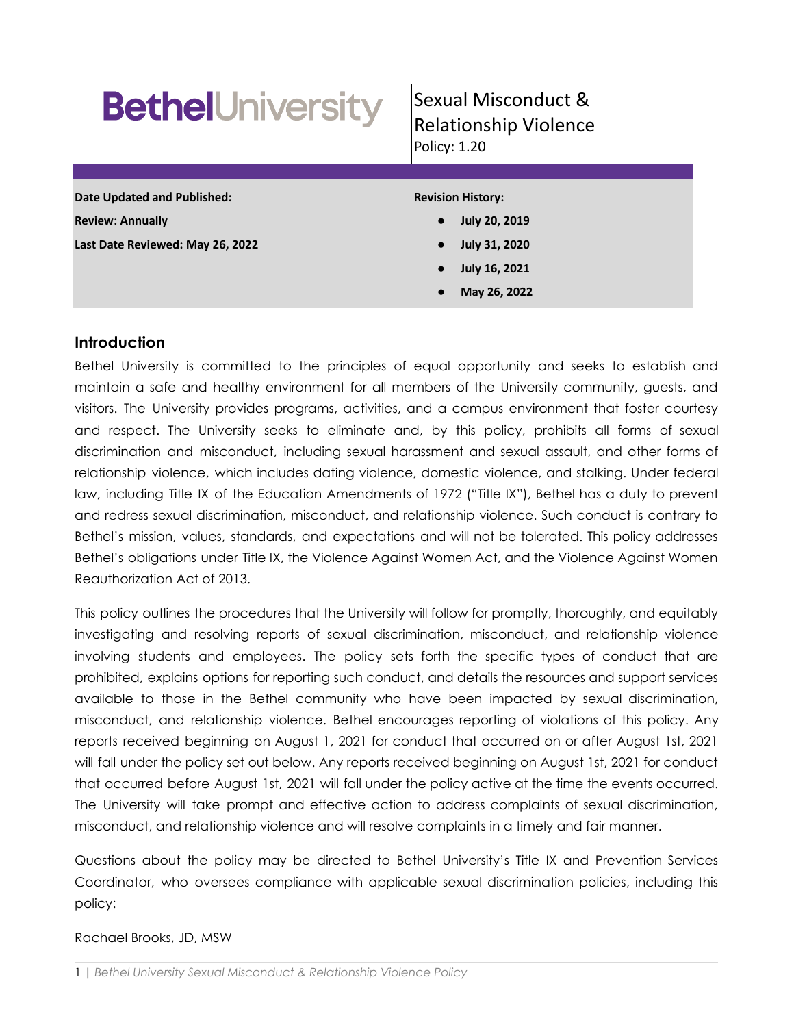# **BethelUniversity**

# Sexual Misconduct & Relationship Violence Policy: 1.20

| <b>Date Updated and Published:</b> | <b>Revision History:</b>          |
|------------------------------------|-----------------------------------|
| <b>Review: Annually</b>            | <b>July 20, 2019</b><br>$\bullet$ |
| Last Date Reviewed: May 26, 2022   | July 31, 2020<br>$\bullet$        |
|                                    | July 16, 2021<br>$\bullet$        |
|                                    | May 26, 2022<br>$\bullet$         |
|                                    |                                   |

# **Introduction**

Bethel University is committed to the principles of equal opportunity and seeks to establish and maintain a safe and healthy environment for all members of the University community, guests, and visitors. The University provides programs, activities, and a campus environment that foster courtesy and respect. The University seeks to eliminate and, by this policy, prohibits all forms of sexual discrimination and misconduct, including sexual harassment and sexual assault, and other forms of relationship violence, which includes dating violence, domestic violence, and stalking. Under federal law, including Title IX of the Education Amendments of 1972 ("Title IX"), Bethel has a duty to prevent and redress sexual discrimination, misconduct, and relationship violence. Such conduct is contrary to Bethel's mission, values, standards, and expectations and will not be tolerated. This policy addresses Bethel's obligations under Title IX, the Violence Against Women Act, and the Violence Against Women Reauthorization Act of 2013.

This policy outlines the procedures that the University will follow for promptly, thoroughly, and equitably investigating and resolving reports of sexual discrimination, misconduct, and relationship violence involving students and employees. The policy sets forth the specific types of conduct that are prohibited, explains options for reporting such conduct, and details the resources and support services available to those in the Bethel community who have been impacted by sexual discrimination, misconduct, and relationship violence. Bethel encourages reporting of violations of this policy. Any reports received beginning on August 1, 2021 for conduct that occurred on or after August 1st, 2021 will fall under the policy set out below. Any reports received beginning on August 1st, 2021 for conduct that occurred before August 1st, 2021 will fall under the policy active at the time the events occurred. The University will take prompt and effective action to address complaints of sexual discrimination, misconduct, and relationship violence and will resolve complaints in a timely and fair manner.

Questions about the policy may be directed to Bethel University's Title IX and Prevention Services Coordinator, who oversees compliance with applicable sexual discrimination policies, including this policy:

# Rachael Brooks, JD, MSW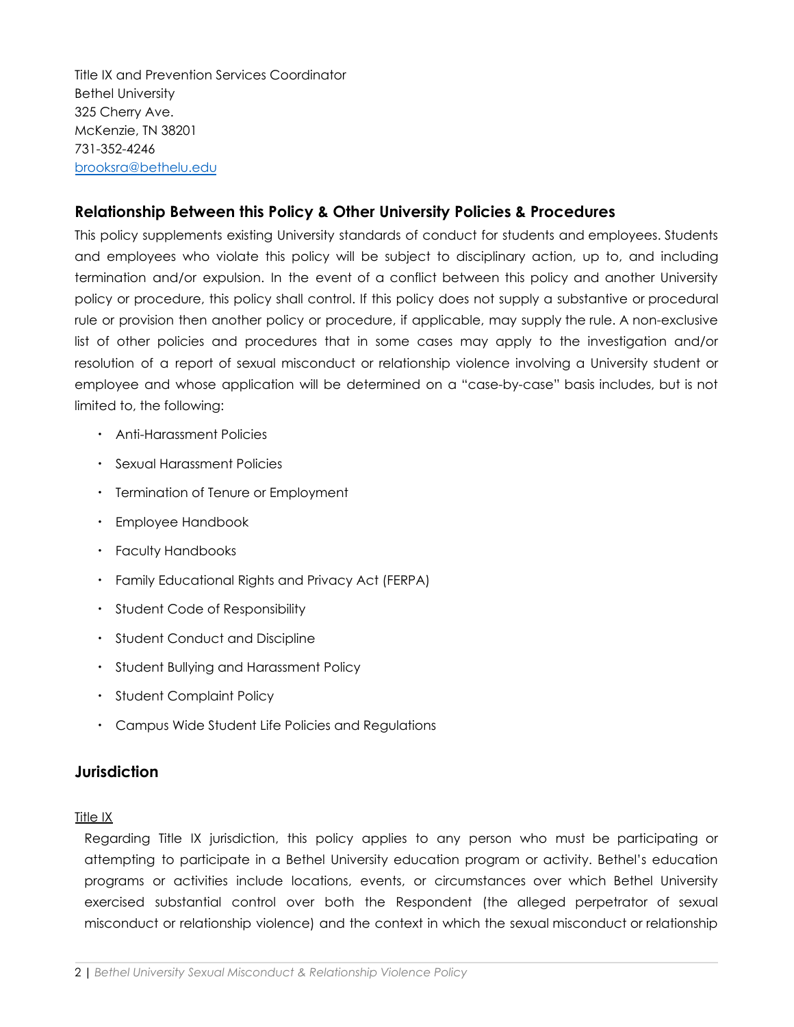Title IX and Prevention Services Coordinator Bethel University 325 Cherry Ave. McKenzie, TN 38201 731-352-4246 [brooksra@bethelu.edu](mailto:brooksra@bethelu.edu)

# **Relationship Between this Policy & Other University Policies & Procedures**

This policy supplements existing University standards of conduct for students and employees. Students and employees who violate this policy will be subject to disciplinary action, up to, and including termination and/or expulsion. In the event of a conflict between this policy and another University policy or procedure, this policy shall control. If this policy does not supply a substantive or procedural rule or provision then another policy or procedure, if applicable, may supply the rule. A non-exclusive list of other policies and procedures that in some cases may apply to the investigation and/or resolution of a report of sexual misconduct or relationship violence involving a University student or employee and whose application will be determined on a "case-by-case" basis includes, but is not limited to, the following:

- Anti-Harassment Policies
- Sexual Harassment Policies
- Termination of Tenure or Employment
- Employee Handbook
- Faculty Handbooks
- Family Educational Rights and Privacy Act (FERPA)
- Student Code of Responsibility
- Student Conduct and Discipline
- Student Bullying and Harassment Policy
- Student Complaint Policy
- Campus Wide Student Life Policies and Regulations

# **Jurisdiction**

#### Title IX

Regarding Title IX jurisdiction, this policy applies to any person who must be participating or attempting to participate in a Bethel University education program or activity. Bethel's education programs or activities include locations, events, or circumstances over which Bethel University exercised substantial control over both the Respondent (the alleged perpetrator of sexual misconduct or relationship violence) and the context in which the sexual misconduct or relationship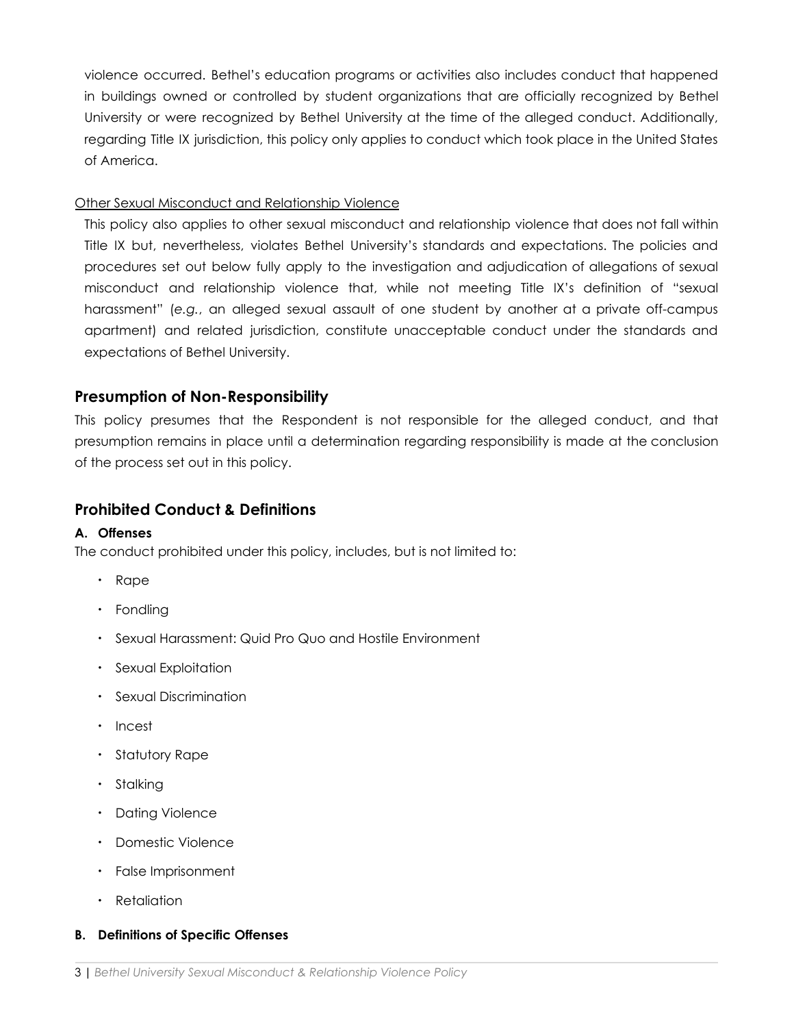violence occurred. Bethel's education programs or activities also includes conduct that happened in buildings owned or controlled by student organizations that are officially recognized by Bethel University or were recognized by Bethel University at the time of the alleged conduct. Additionally, regarding Title IX jurisdiction, this policy only applies to conduct which took place in the United States of America.

#### Other Sexual Misconduct and Relationship Violence

This policy also applies to other sexual misconduct and relationship violence that does not fall within Title IX but, nevertheless, violates Bethel University's standards and expectations. The policies and procedures set out below fully apply to the investigation and adjudication of allegations of sexual misconduct and relationship violence that, while not meeting Title IX's definition of "sexual harassment" (*e.g.*, an alleged sexual assault of one student by another at a private off-campus apartment) and related jurisdiction, constitute unacceptable conduct under the standards and expectations of Bethel University.

## **Presumption of Non-Responsibility**

This policy presumes that the Respondent is not responsible for the alleged conduct, and that presumption remains in place until a determination regarding responsibility is made at the conclusion of the process set out in this policy.

#### **Prohibited Conduct & Definitions**

#### **A. Offenses**

The conduct prohibited under this policy, includes, but is not limited to:

- Rape
- Fondling
- Sexual Harassment: Quid Pro Quo and Hostile Environment
- Sexual Exploitation
- Sexual Discrimination
- Incest
- Statutory Rape
- Stalking
- Dating Violence
- Domestic Violence
- False Imprisonment
- Retaliation

#### **B. Definitions of Specific Offenses**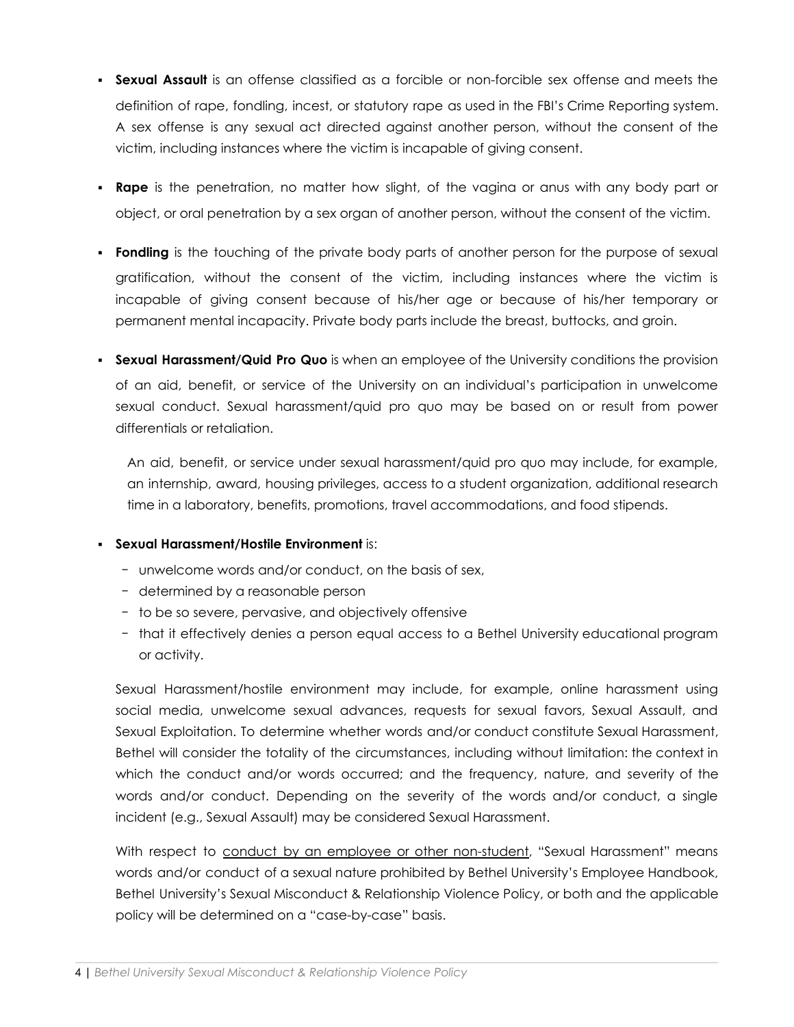- **Sexual Assault** is an offense classified as a forcible or non-forcible sex offense and meets the definition of rape, fondling, incest, or statutory rape as used in the FBI's Crime Reporting system. A sex offense is any sexual act directed against another person, without the consent of the victim, including instances where the victim is incapable of giving consent.
- **Rape** is the penetration, no matter how slight, of the vagina or anus with any body part or object, or oral penetration by a sex organ of another person, without the consent of the victim.
- **Fondling** is the touching of the private body parts of another person for the purpose of sexual gratification, without the consent of the victim, including instances where the victim is incapable of giving consent because of his/her age or because of his/her temporary or permanent mental incapacity. Private body parts include the breast, buttocks, and groin.
- **Sexual Harassment/Quid Pro Quo** is when an employee of the University conditions the provision of an aid, benefit, or service of the University on an individual's participation in unwelcome sexual conduct. Sexual harassment/quid pro quo may be based on or result from power differentials or retaliation.

An aid, benefit, or service under sexual harassment/quid pro quo may include, for example, an internship, award, housing privileges, access to a student organization, additional research time in a laboratory, benefits, promotions, travel accommodations, and food stipends.

#### ▪ **Sexual Harassment/Hostile Environment** is:

- − unwelcome words and/or conduct, on the basis of sex,
- − determined by a reasonable person
- − to be so severe, pervasive, and objectively offensive
- − that it effectively denies a person equal access to a Bethel University educational program or activity.

Sexual Harassment/hostile environment may include, for example, online harassment using social media, unwelcome sexual advances, requests for sexual favors, Sexual Assault, and Sexual Exploitation. To determine whether words and/or conduct constitute Sexual Harassment, Bethel will consider the totality of the circumstances, including without limitation: the context in which the conduct and/or words occurred; and the frequency, nature, and severity of the words and/or conduct. Depending on the severity of the words and/or conduct, a single incident (e.g., Sexual Assault) may be considered Sexual Harassment.

With respect to conduct by an employee or other non-student, "Sexual Harassment" means words and/or conduct of a sexual nature prohibited by Bethel University's Employee Handbook, Bethel University's Sexual Misconduct & Relationship Violence Policy, or both and the applicable policy will be determined on a "case-by-case" basis.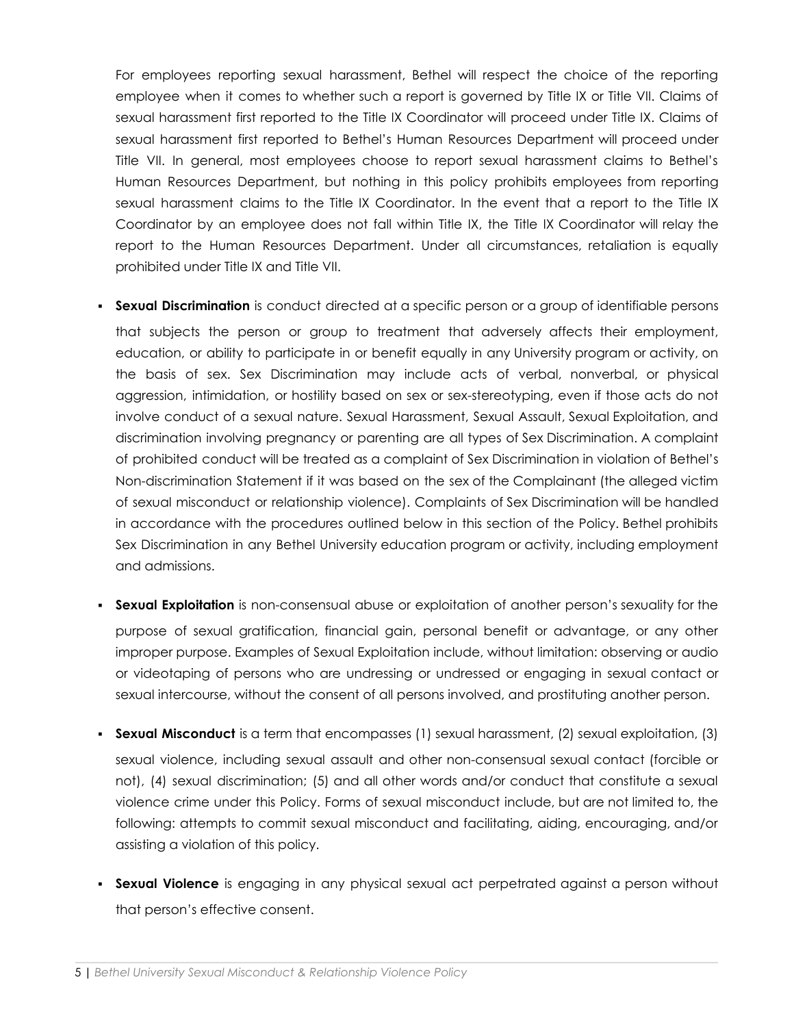For employees reporting sexual harassment, Bethel will respect the choice of the reporting employee when it comes to whether such a report is governed by Title IX or Title VII. Claims of sexual harassment first reported to the Title IX Coordinator will proceed under Title IX. Claims of sexual harassment first reported to Bethel's Human Resources Department will proceed under Title VII. In general, most employees choose to report sexual harassment claims to Bethel's Human Resources Department, but nothing in this policy prohibits employees from reporting sexual harassment claims to the Title IX Coordinator. In the event that a report to the Title IX Coordinator by an employee does not fall within Title IX, the Title IX Coordinator will relay the report to the Human Resources Department. Under all circumstances, retaliation is equally prohibited under Title IX and Title VII.

- **Sexual Discrimination** is conduct directed at a specific person or a group of identifiable persons that subjects the person or group to treatment that adversely affects their employment, education, or ability to participate in or benefit equally in any University program or activity, on the basis of sex. Sex Discrimination may include acts of verbal, nonverbal, or physical aggression, intimidation, or hostility based on sex or sex-stereotyping, even if those acts do not involve conduct of a sexual nature. Sexual Harassment, Sexual Assault, Sexual Exploitation, and discrimination involving pregnancy or parenting are all types of Sex Discrimination. A complaint of prohibited conduct will be treated as a complaint of Sex Discrimination in violation of Bethel's Non-discrimination Statement if it was based on the sex of the Complainant (the alleged victim of sexual misconduct or relationship violence). Complaints of Sex Discrimination will be handled in accordance with the procedures outlined below in this section of the Policy. Bethel prohibits Sex Discrimination in any Bethel University education program or activity, including employment and admissions.
- **Sexual Exploitation** is non-consensual abuse or exploitation of another person's sexuality for the purpose of sexual gratification, financial gain, personal benefit or advantage, or any other improper purpose. Examples of Sexual Exploitation include, without limitation: observing or audio or videotaping of persons who are undressing or undressed or engaging in sexual contact or sexual intercourse, without the consent of all persons involved, and prostituting another person.
- **Sexual Misconduct** is a term that encompasses (1) sexual harassment, (2) sexual exploitation, (3) sexual violence, including sexual assault and other non-consensual sexual contact (forcible or not), (4) sexual discrimination; (5) and all other words and/or conduct that constitute a sexual violence crime under this Policy. Forms of sexual misconduct include, but are not limited to, the following: attempts to commit sexual misconduct and facilitating, aiding, encouraging, and/or assisting a violation of this policy.
- **Sexual Violence** is engaging in any physical sexual act perpetrated against a person without that person's effective consent.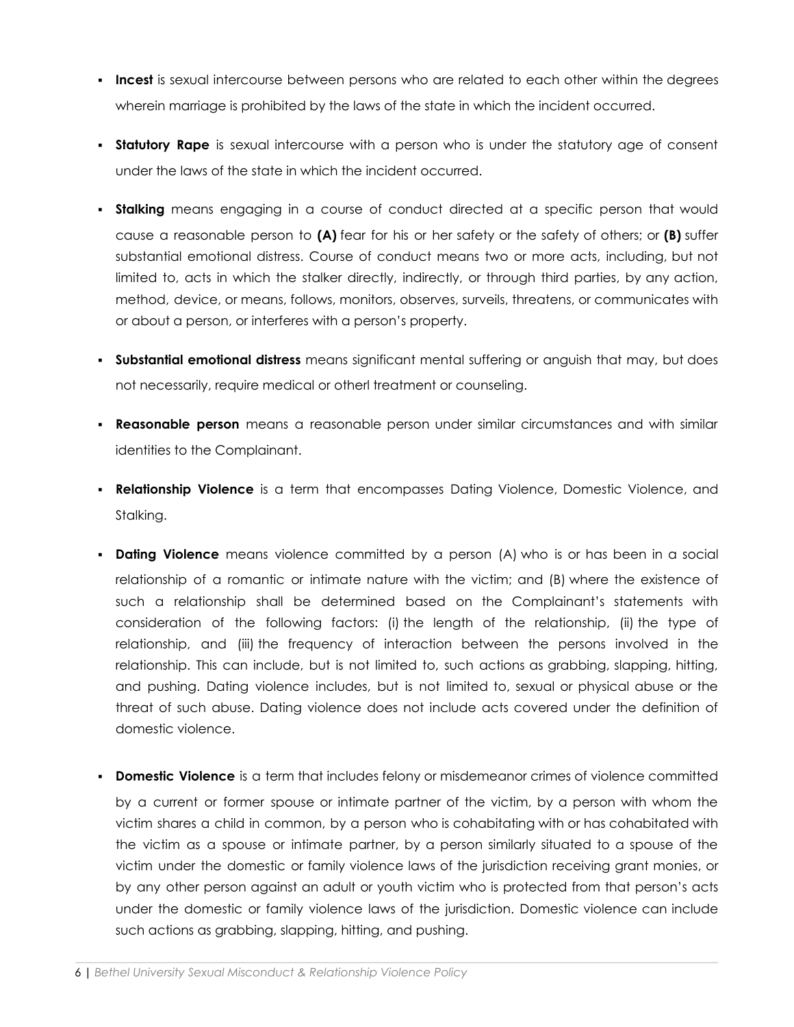- **Incest** is sexual intercourse between persons who are related to each other within the degrees wherein marriage is prohibited by the laws of the state in which the incident occurred.
- **Statutory Rape** is sexual intercourse with a person who is under the statutory age of consent under the laws of the state in which the incident occurred.
- **· Stalking** means engaging in a course of conduct directed at a specific person that would cause a reasonable person to **(A)** fear for his or her safety or the safety of others; or **(B)** suffer substantial emotional distress. Course of conduct means two or more acts, including, but not limited to, acts in which the stalker directly, indirectly, or through third parties, by any action, method, device, or means, follows, monitors, observes, surveils, threatens, or communicates with or about a person, or interferes with a person's property.
- **Substantial emotional distress** means significant mental suffering or anguish that may, but does not necessarily, require medical or otherl treatment or counseling.
- **Reasonable person** means a reasonable person under similar circumstances and with similar identities to the Complainant.
- **Relationship Violence** is a term that encompasses Dating Violence, Domestic Violence, and Stalking.
- **Dating Violence** means violence committed by a person (A) who is or has been in a social relationship of a romantic or intimate nature with the victim; and (B) where the existence of such a relationship shall be determined based on the Complainant's statements with consideration of the following factors: (i) the length of the relationship, (ii) the type of relationship, and (iii) the frequency of interaction between the persons involved in the relationship. This can include, but is not limited to, such actions as grabbing, slapping, hitting, and pushing. Dating violence includes, but is not limited to, sexual or physical abuse or the threat of such abuse. Dating violence does not include acts covered under the definition of domestic violence.
- **Domestic Violence** is a term that includes felony or misdemeanor crimes of violence committed by a current or former spouse or intimate partner of the victim, by a person with whom the victim shares a child in common, by a person who is cohabitating with or has cohabitated with the victim as a spouse or intimate partner, by a person similarly situated to a spouse of the victim under the domestic or family violence laws of the jurisdiction receiving grant monies, or by any other person against an adult or youth victim who is protected from that person's acts under the domestic or family violence laws of the jurisdiction. Domestic violence can include such actions as grabbing, slapping, hitting, and pushing.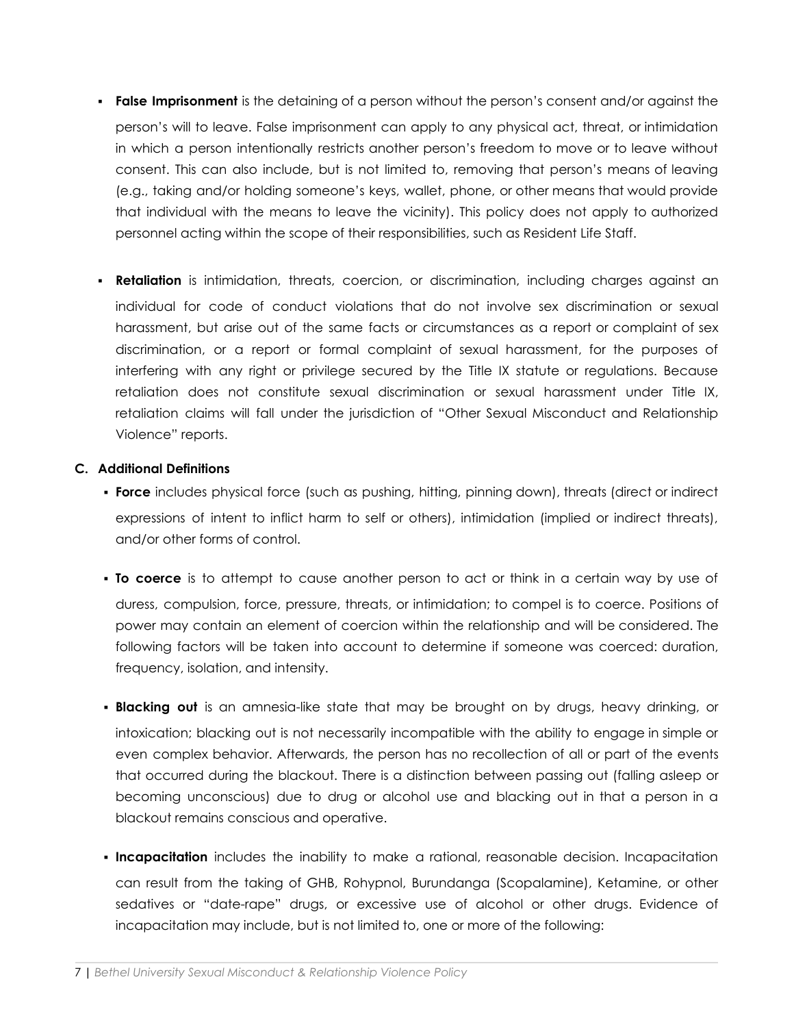- **False Imprisonment** is the detaining of a person without the person's consent and/or against the person's will to leave. False imprisonment can apply to any physical act, threat, or intimidation in which a person intentionally restricts another person's freedom to move or to leave without consent. This can also include, but is not limited to, removing that person's means of leaving (e.g., taking and/or holding someone's keys, wallet, phone, or other means that would provide that individual with the means to leave the vicinity). This policy does not apply to authorized personnel acting within the scope of their responsibilities, such as Resident Life Staff.
- **Retaliation** is intimidation, threats, coercion, or discrimination, including charges against an individual for code of conduct violations that do not involve sex discrimination or sexual harassment, but arise out of the same facts or circumstances as a report or complaint of sex discrimination, or a report or formal complaint of sexual harassment, for the purposes of interfering with any right or privilege secured by the Title IX statute or regulations. Because retaliation does not constitute sexual discrimination or sexual harassment under Title IX, retaliation claims will fall under the jurisdiction of "Other Sexual Misconduct and Relationship Violence" reports.

#### **C. Additional Definitions**

- **Force** includes physical force (such as pushing, hitting, pinning down), threats (direct or indirect expressions of intent to inflict harm to self or others), intimidation (implied or indirect threats), and/or other forms of control.
- **To coerce** is to attempt to cause another person to act or think in a certain way by use of duress, compulsion, force, pressure, threats, or intimidation; to compel is to coerce. Positions of power may contain an element of coercion within the relationship and will be considered. The following factors will be taken into account to determine if someone was coerced: duration, frequency, isolation, and intensity.
- **Blacking out** is an amnesia-like state that may be brought on by drugs, heavy drinking, or intoxication; blacking out is not necessarily incompatible with the ability to engage in simple or even complex behavior. Afterwards, the person has no recollection of all or part of the events that occurred during the blackout. There is a distinction between passing out (falling asleep or becoming unconscious) due to drug or alcohol use and blacking out in that a person in a blackout remains conscious and operative.
- **Incapacitation** includes the inability to make a rational, reasonable decision. Incapacitation can result from the taking of GHB, Rohypnol, Burundanga (Scopalamine), Ketamine, or other sedatives or "date-rape" drugs, or excessive use of alcohol or other drugs. Evidence of incapacitation may include, but is not limited to, one or more of the following: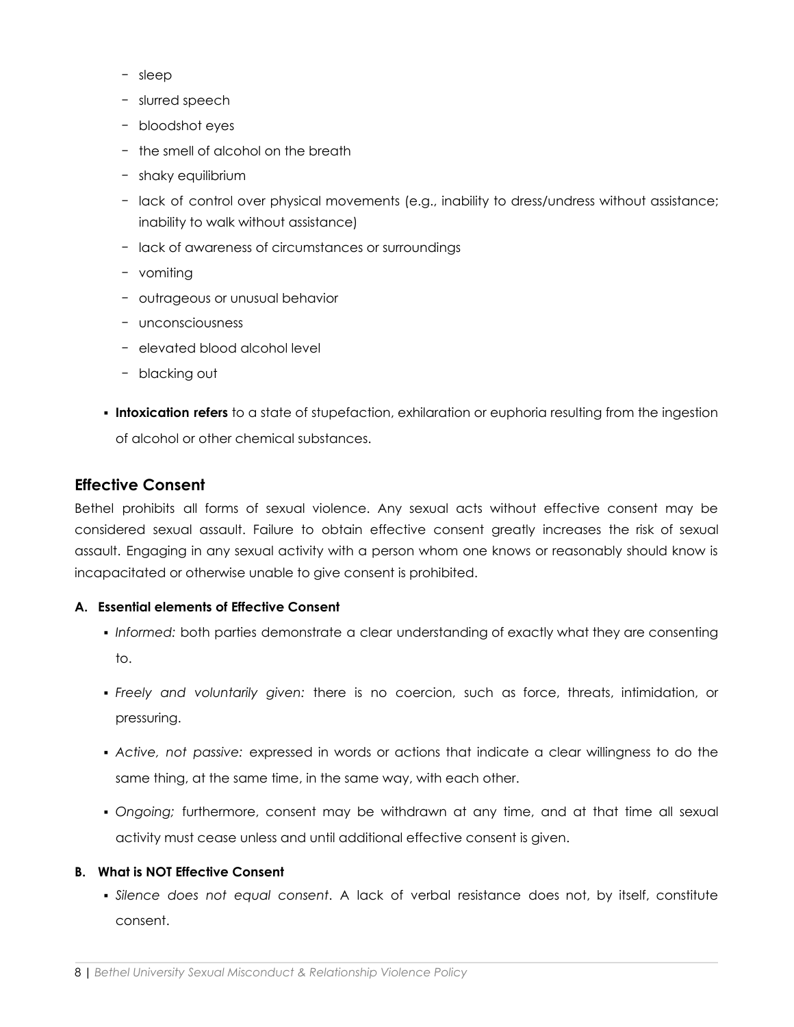- − sleep
- − slurred speech
- − bloodshot eyes
- − the smell of alcohol on the breath
- − shaky equilibrium
- − lack of control over physical movements (e.g., inability to dress/undress without assistance; inability to walk without assistance)
- − lack of awareness of circumstances or surroundings
- − vomiting
- − outrageous or unusual behavior
- − unconsciousness
- − elevated blood alcohol level
- − blacking out
- **Intoxication refers** to a state of stupefaction, exhilaration or euphoria resulting from the ingestion of alcohol or other chemical substances.

# **Effective Consent**

Bethel prohibits all forms of sexual violence. Any sexual acts without effective consent may be considered sexual assault. Failure to obtain effective consent greatly increases the risk of sexual assault. Engaging in any sexual activity with a person whom one knows or reasonably should know is incapacitated or otherwise unable to give consent is prohibited.

#### **A. Essential elements of Effective Consent**

- *Informed:* both parties demonstrate a clear understanding of exactly what they are consenting to.
- *Freely and voluntarily given:* there is no coercion, such as force, threats, intimidation, or pressuring.
- *Active, not passive:* expressed in words or actions that indicate a clear willingness to do the same thing, at the same time, in the same way, with each other.
- *Ongoing;* furthermore, consent may be withdrawn at any time, and at that time all sexual activity must cease unless and until additional effective consent is given.

#### **B. What is NOT Effective Consent**

▪ *Silence does not equal consent*. A lack of verbal resistance does not, by itself, constitute consent.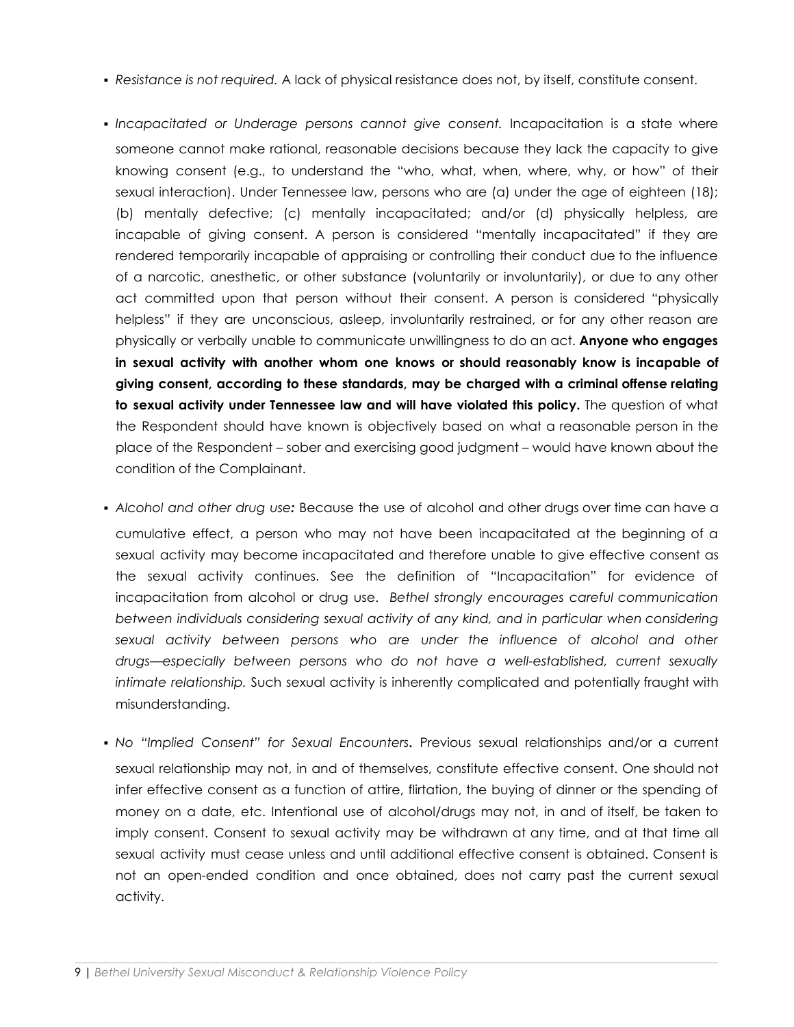- *Resistance is not required.* A lack of physical resistance does not, by itself, constitute consent.
- *Incapacitated or Underage persons cannot give consent.* Incapacitation is a state where someone cannot make rational, reasonable decisions because they lack the capacity to give knowing consent (e.g., to understand the "who, what, when, where, why, or how" of their sexual interaction). Under Tennessee law, persons who are (a) under the age of eighteen (18); (b) mentally defective; (c) mentally incapacitated; and/or (d) physically helpless, are incapable of giving consent. A person is considered "mentally incapacitated" if they are rendered temporarily incapable of appraising or controlling their conduct due to the influence of a narcotic, anesthetic, or other substance (voluntarily or involuntarily), or due to any other act committed upon that person without their consent. A person is considered "physically helpless" if they are unconscious, asleep, involuntarily restrained, or for any other reason are physically or verbally unable to communicate unwillingness to do an act. **Anyone who engages in sexual activity with another whom one knows or should reasonably know is incapable of giving consent, according to these standards, may be charged with a criminal offense relating to sexual activity under Tennessee law and will have violated this policy.** The question of what the Respondent should have known is objectively based on what a reasonable person in the place of the Respondent – sober and exercising good judgment – would have known about the condition of the Complainant.
- *Alcohol and other drug use:* Because the use of alcohol and other drugs over time can have a cumulative effect, a person who may not have been incapacitated at the beginning of a sexual activity may become incapacitated and therefore unable to give effective consent as the sexual activity continues. See the definition of "Incapacitation" for evidence of incapacitation from alcohol or drug use. *Bethel strongly encourages careful communication between individuals considering sexual activity of any kind, and in particular when considering sexual activity between persons who are under the influence of alcohol and other drugs—especially between persons who do not have a well-established, current sexually intimate relationship.* Such sexual activity is inherently complicated and potentially fraught with misunderstanding.
- *No "Implied Consent" for Sexual Encounters***.** Previous sexual relationships and/or a current sexual relationship may not, in and of themselves, constitute effective consent. One should not infer effective consent as a function of attire, flirtation, the buying of dinner or the spending of money on a date, etc. Intentional use of alcohol/drugs may not, in and of itself, be taken to imply consent. Consent to sexual activity may be withdrawn at any time, and at that time all sexual activity must cease unless and until additional effective consent is obtained. Consent is not an open-ended condition and once obtained, does not carry past the current sexual activity.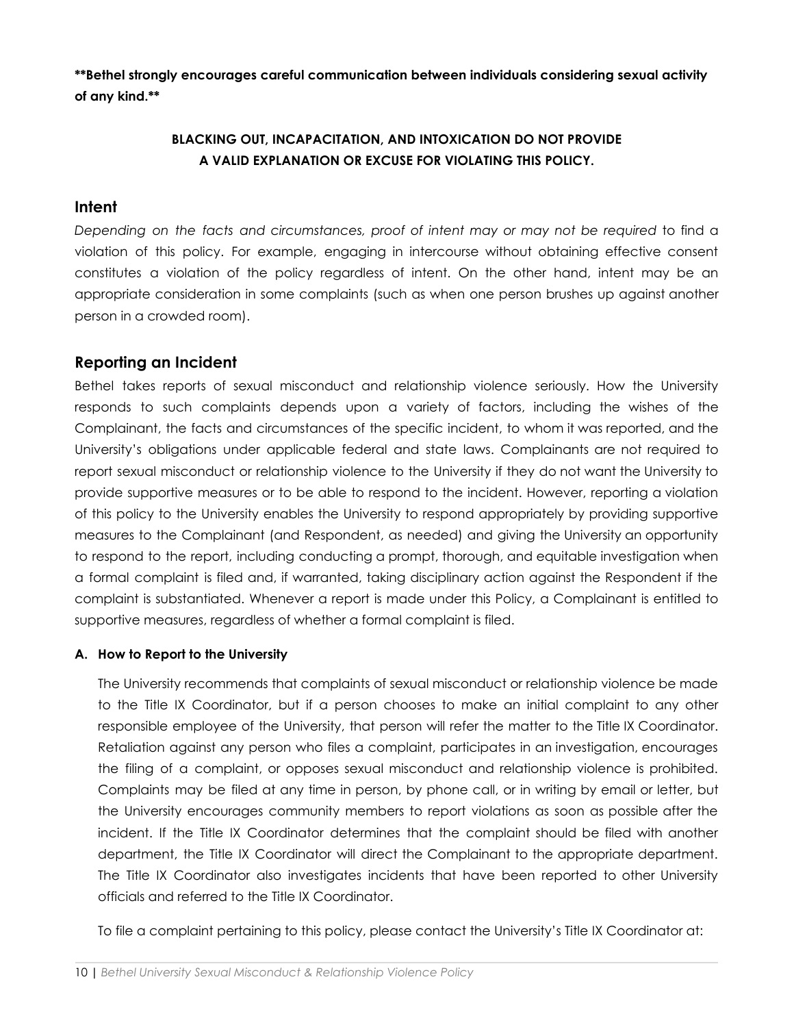**\*\*Bethel strongly encourages careful communication between individuals considering sexual activity of any kind.\*\***

# **BLACKING OUT, INCAPACITATION, AND INTOXICATION DO NOT PROVIDE A VALID EXPLANATION OR EXCUSE FOR VIOLATING THIS POLICY.**

#### **Intent**

*Depending on the facts and circumstances, proof of intent may or may not be required* to find a violation of this policy. For example, engaging in intercourse without obtaining effective consent constitutes a violation of the policy regardless of intent. On the other hand, intent may be an appropriate consideration in some complaints (such as when one person brushes up against another person in a crowded room).

# **Reporting an Incident**

Bethel takes reports of sexual misconduct and relationship violence seriously. How the University responds to such complaints depends upon a variety of factors, including the wishes of the Complainant, the facts and circumstances of the specific incident, to whom it was reported, and the University's obligations under applicable federal and state laws. Complainants are not required to report sexual misconduct or relationship violence to the University if they do not want the University to provide supportive measures or to be able to respond to the incident. However, reporting a violation of this policy to the University enables the University to respond appropriately by providing supportive measures to the Complainant (and Respondent, as needed) and giving the University an opportunity to respond to the report, including conducting a prompt, thorough, and equitable investigation when a formal complaint is filed and, if warranted, taking disciplinary action against the Respondent if the complaint is substantiated. Whenever a report is made under this Policy, a Complainant is entitled to supportive measures, regardless of whether a formal complaint is filed.

#### **A. How to Report to the University**

The University recommends that complaints of sexual misconduct or relationship violence be made to the Title IX Coordinator, but if a person chooses to make an initial complaint to any other responsible employee of the University, that person will refer the matter to the Title IX Coordinator. Retaliation against any person who files a complaint, participates in an investigation, encourages the filing of a complaint, or opposes sexual misconduct and relationship violence is prohibited. Complaints may be filed at any time in person, by phone call, or in writing by email or letter, but the University encourages community members to report violations as soon as possible after the incident. If the Title IX Coordinator determines that the complaint should be filed with another department, the Title IX Coordinator will direct the Complainant to the appropriate department. The Title IX Coordinator also investigates incidents that have been reported to other University officials and referred to the Title IX Coordinator.

To file a complaint pertaining to this policy, please contact the University's Title IX Coordinator at: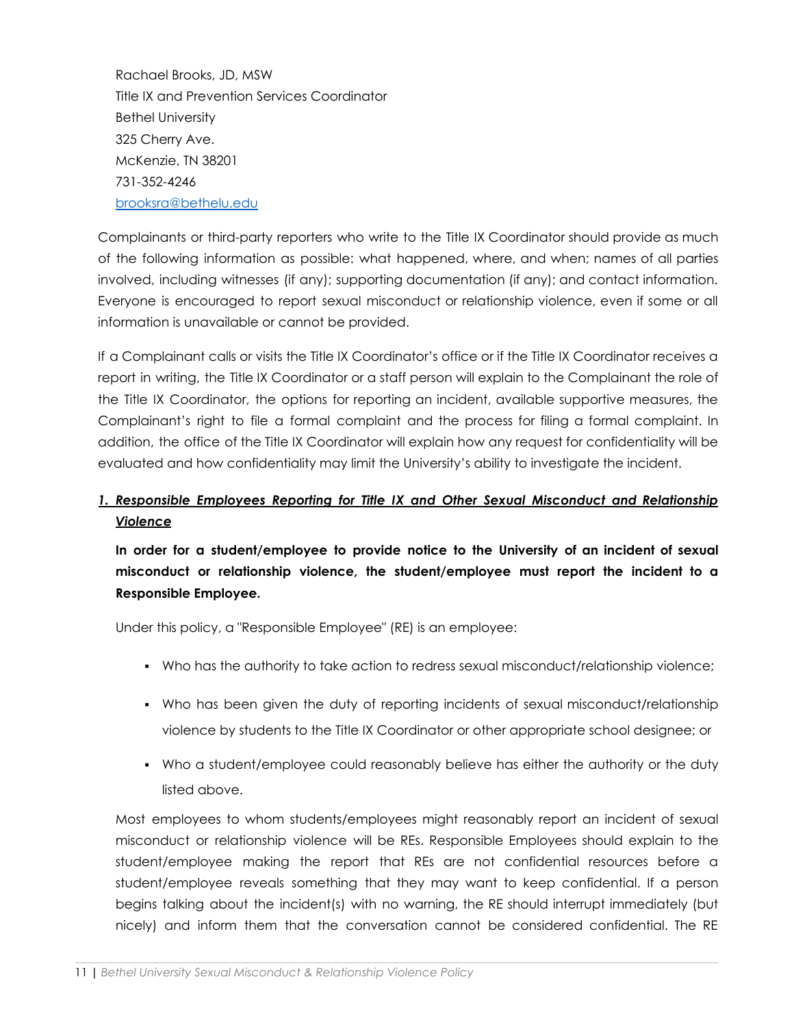Rachael Brooks, JD, MSW Title IX and Prevention Services Coordinator Bethel University 325 Cherry Ave. McKenzie, TN 38201 731-352-4246 [brooksra@bethelu.edu](mailto:brooksra@bethelu.edu)

Complainants or third-party reporters who write to the Title IX Coordinator should provide as much of the following information as possible: what happened, where, and when; names of all parties involved, including witnesses (if any); supporting documentation (if any); and contact information. Everyone is encouraged to report sexual misconduct or relationship violence, even if some or all information is unavailable or cannot be provided.

If a Complainant calls or visits the Title IX Coordinator's office or if the Title IX Coordinator receives a report in writing, the Title IX Coordinator or a staff person will explain to the Complainant the role of the Title IX Coordinator, the options for reporting an incident, available supportive measures, the Complainant's right to file a formal complaint and the process for filing a formal complaint. In addition, the office of the Title IX Coordinator will explain how any request for confidentiality will be evaluated and how confidentiality may limit the University's ability to investigate the incident.

# *1. Responsible Employees Reporting for Title IX and Other Sexual Misconduct and Relationship Violence*

**In order for a student/employee to provide notice to the University of an incident of sexual misconduct or relationship violence, the student/employee must report the incident to a Responsible Employee.**

Under this policy, a "Responsible Employee" (RE) is an employee:

- Who has the authority to take action to redress sexual misconduct/relationship violence;
- Who has been given the duty of reporting incidents of sexual misconduct/relationship violence by students to the Title IX Coordinator or other appropriate school designee; or
- Who a student/employee could reasonably believe has either the authority or the duty listed above.

Most employees to whom students/employees might reasonably report an incident of sexual misconduct or relationship violence will be REs. Responsible Employees should explain to the student/employee making the report that REs are not confidential resources before a student/employee reveals something that they may want to keep confidential. If a person begins talking about the incident(s) with no warning, the RE should interrupt immediately (but nicely) and inform them that the conversation cannot be considered confidential. The RE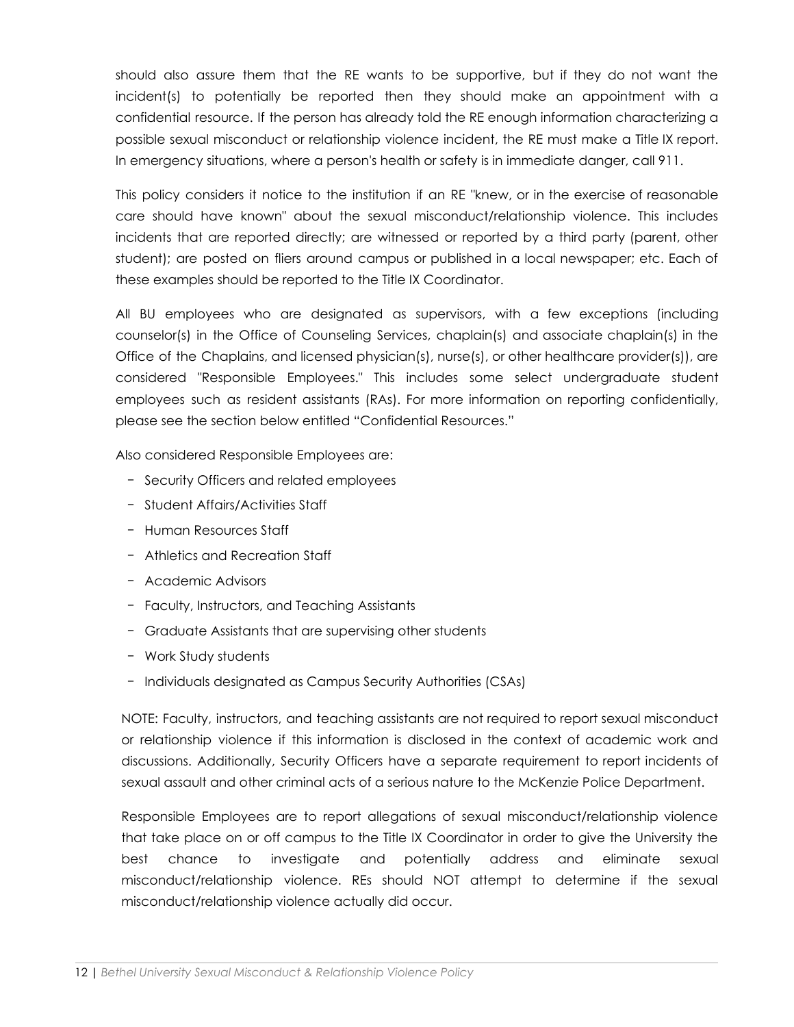should also assure them that the RE wants to be supportive, but if they do not want the incident(s) to potentially be reported then they should make an appointment with a confidential resource. If the person has already told the RE enough information characterizing a possible sexual misconduct or relationship violence incident, the RE must make a Title IX report. In emergency situations, where a person's health or safety is in immediate danger, call 911.

This policy considers it notice to the institution if an RE "knew, or in the exercise of reasonable care should have known" about the sexual misconduct/relationship violence. This includes incidents that are reported directly; are witnessed or reported by a third party (parent, other student); are posted on fliers around campus or published in a local newspaper; etc. Each of these examples should be reported to the Title IX Coordinator.

All BU employees who are designated as supervisors, with a few exceptions (including counselor(s) in the Office of Counseling Services, chaplain(s) and associate chaplain(s) in the Office of the Chaplains, and licensed physician(s), nurse(s), or other healthcare provider(s)), are considered "Responsible Employees." This includes some select undergraduate student employees such as resident assistants (RAs). For more information on reporting confidentially, please see the section below entitled "Confidential Resources."

Also considered Responsible Employees are:

- − Security Officers and related employees
- − Student Affairs/Activities Staff
- − Human Resources Staff
- − Athletics and Recreation Staff
- − Academic Advisors
- − Faculty, Instructors, and Teaching Assistants
- − Graduate Assistants that are supervising other students
- − Work Study students
- − Individuals designated as Campus Security Authorities (CSAs)

NOTE: Faculty, instructors, and teaching assistants are not required to report sexual misconduct or relationship violence if this information is disclosed in the context of academic work and discussions. Additionally, Security Officers have a separate requirement to report incidents of sexual assault and other criminal acts of a serious nature to the McKenzie Police Department.

Responsible Employees are to report allegations of sexual misconduct/relationship violence that take place on or off campus to the Title IX Coordinator in order to give the University the best chance to investigate and potentially address and eliminate sexual misconduct/relationship violence. REs should NOT attempt to determine if the sexual misconduct/relationship violence actually did occur.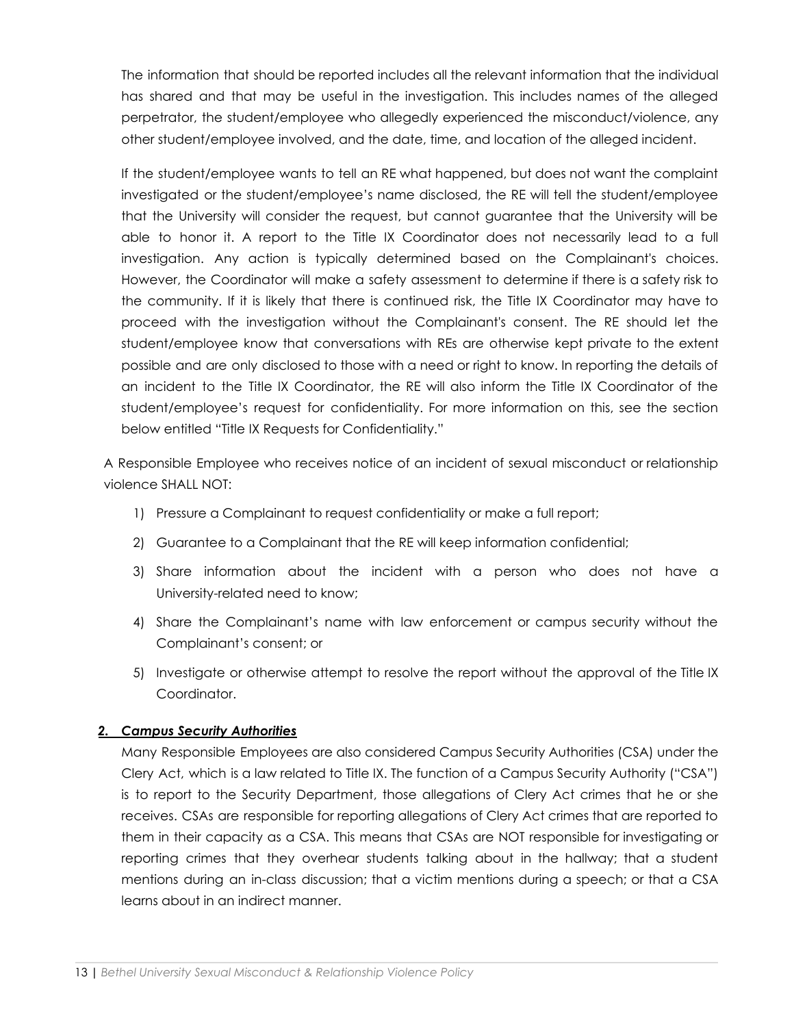The information that should be reported includes all the relevant information that the individual has shared and that may be useful in the investigation. This includes names of the alleged perpetrator, the student/employee who allegedly experienced the misconduct/violence, any other student/employee involved, and the date, time, and location of the alleged incident.

If the student/employee wants to tell an RE what happened, but does not want the complaint investigated or the student/employee's name disclosed, the RE will tell the student/employee that the University will consider the request, but cannot guarantee that the University will be able to honor it. A report to the Title IX Coordinator does not necessarily lead to a full investigation. Any action is typically determined based on the Complainant's choices. However, the Coordinator will make a safety assessment to determine if there is a safety risk to the community. If it is likely that there is continued risk, the Title IX Coordinator may have to proceed with the investigation without the Complainant's consent. The RE should let the student/employee know that conversations with REs are otherwise kept private to the extent possible and are only disclosed to those with a need or right to know. In reporting the details of an incident to the Title IX Coordinator, the RE will also inform the Title IX Coordinator of the student/employee's request for confidentiality. For more information on this, see the section below entitled "Title IX Requests for Confidentiality."

A Responsible Employee who receives notice of an incident of sexual misconduct or relationship violence SHALL NOT:

- 1) Pressure a Complainant to request confidentiality or make a full report;
- 2) Guarantee to a Complainant that the RE will keep information confidential;
- 3) Share information about the incident with a person who does not have a University-related need to know;
- 4) Share the Complainant's name with law enforcement or campus security without the Complainant's consent; or
- 5) Investigate or otherwise attempt to resolve the report without the approval of the Title IX Coordinator.

#### *2. Campus Security Authorities*

Many Responsible Employees are also considered Campus Security Authorities (CSA) under the Clery Act, which is a law related to Title IX. The function of a Campus Security Authority ("CSA") is to report to the Security Department, those allegations of Clery Act crimes that he or she receives. CSAs are responsible for reporting allegations of Clery Act crimes that are reported to them in their capacity as a CSA. This means that CSAs are NOT responsible for investigating or reporting crimes that they overhear students talking about in the hallway; that a student mentions during an in-class discussion; that a victim mentions during a speech; or that a CSA learns about in an indirect manner.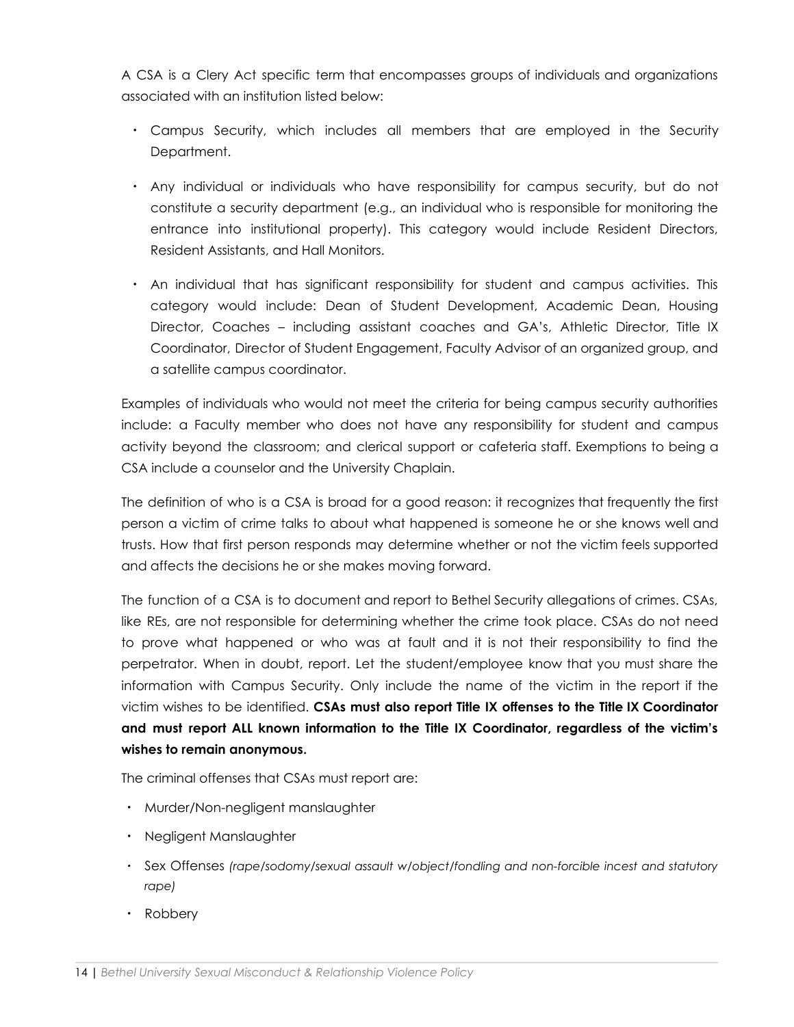A CSA is a Clery Act specific term that encompasses groups of individuals and organizations associated with an institution listed below:

- Campus Security, which includes all members that are employed in the Security Department.
- Any individual or individuals who have responsibility for campus security, but do not constitute a security department (e.g., an individual who is responsible for monitoring the entrance into institutional property). This category would include Resident Directors, Resident Assistants, and Hall Monitors.
- An individual that has significant responsibility for student and campus activities. This category would include: Dean of Student Development, Academic Dean, Housing Director, Coaches – including assistant coaches and GA's, Athletic Director, Title IX Coordinator, Director of Student Engagement, Faculty Advisor of an organized group, and a satellite campus coordinator.

Examples of individuals who would not meet the criteria for being campus security authorities include: a Faculty member who does not have any responsibility for student and campus activity beyond the classroom; and clerical support or cafeteria staff. Exemptions to being a CSA include a counselor and the University Chaplain.

The definition of who is a CSA is broad for a good reason: it recognizes that frequently the first person a victim of crime talks to about what happened is someone he or she knows well and trusts. How that first person responds may determine whether or not the victim feels supported and affects the decisions he or she makes moving forward.

The function of a CSA is to document and report to Bethel Security allegations of crimes. CSAs, like REs, are not responsible for determining whether the crime took place. CSAs do not need to prove what happened or who was at fault and it is not their responsibility to find the perpetrator. When in doubt, report. Let the student/employee know that you must share the information with Campus Security. Only include the name of the victim in the report if the victim wishes to be identified. **CSAs must also report Title IX offenses to the Title IX Coordinator and must report ALL known information to the Title IX Coordinator, regardless of the victim's wishes to remain anonymous.**

The criminal offenses that CSAs must report are:

- Murder/Non-negligent manslaughter
- Negligent Manslaughter
- *•* Sex Offenses *(rape/sodomy/sexual assault w/object/fondling and non-forcible incest and statutory rape)*
- Robbery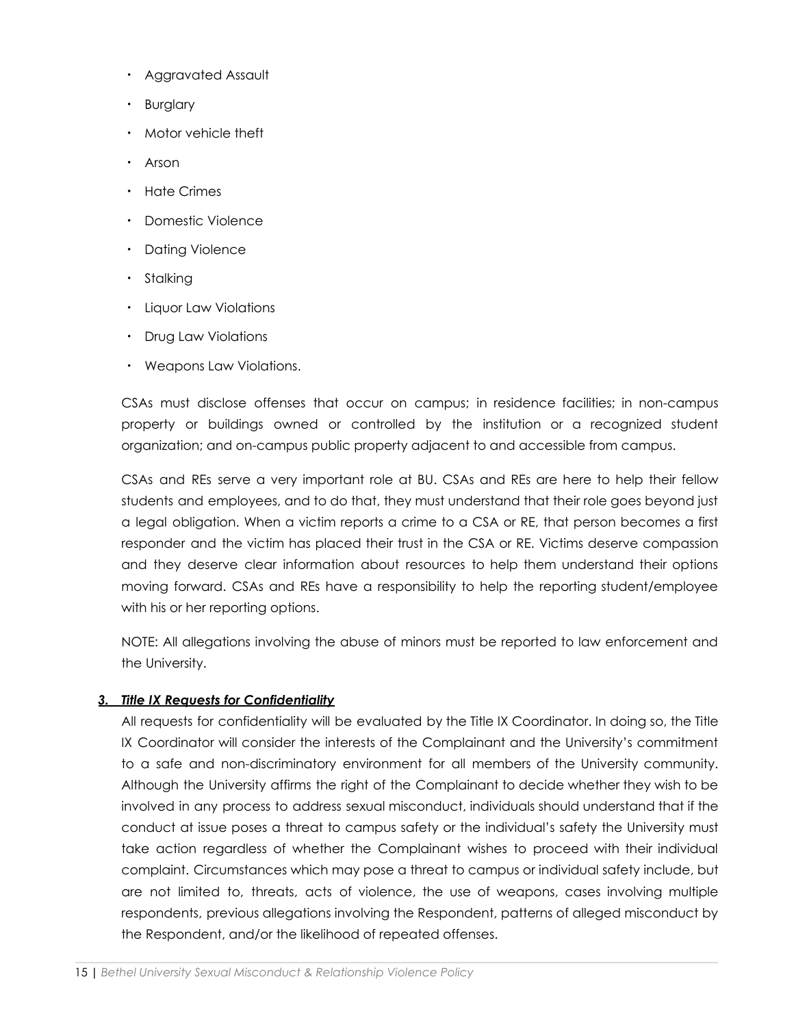- Aggravated Assault
- Burglary
- Motor vehicle theft
- Arson
- Hate Crimes
- Domestic Violence
- Dating Violence
- Stalking
- Liquor Law Violations
- Drug Law Violations
- Weapons Law Violations.

CSAs must disclose offenses that occur on campus; in residence facilities; in non-campus property or buildings owned or controlled by the institution or a recognized student organization; and on-campus public property adjacent to and accessible from campus.

CSAs and REs serve a very important role at BU. CSAs and REs are here to help their fellow students and employees, and to do that, they must understand that their role goes beyond just a legal obligation. When a victim reports a crime to a CSA or RE, that person becomes a first responder and the victim has placed their trust in the CSA or RE. Victims deserve compassion and they deserve clear information about resources to help them understand their options moving forward. CSAs and REs have a responsibility to help the reporting student/employee with his or her reporting options.

NOTE: All allegations involving the abuse of minors must be reported to law enforcement and the University.

#### *3. Title IX Requests for Confidentiality*

All requests for confidentiality will be evaluated by the Title IX Coordinator. In doing so, the Title IX Coordinator will consider the interests of the Complainant and the University's commitment to a safe and non-discriminatory environment for all members of the University community. Although the University affirms the right of the Complainant to decide whether they wish to be involved in any process to address sexual misconduct, individuals should understand that if the conduct at issue poses a threat to campus safety or the individual's safety the University must take action regardless of whether the Complainant wishes to proceed with their individual complaint. Circumstances which may pose a threat to campus or individual safety include, but are not limited to, threats, acts of violence, the use of weapons, cases involving multiple respondents, previous allegations involving the Respondent, patterns of alleged misconduct by the Respondent, and/or the likelihood of repeated offenses.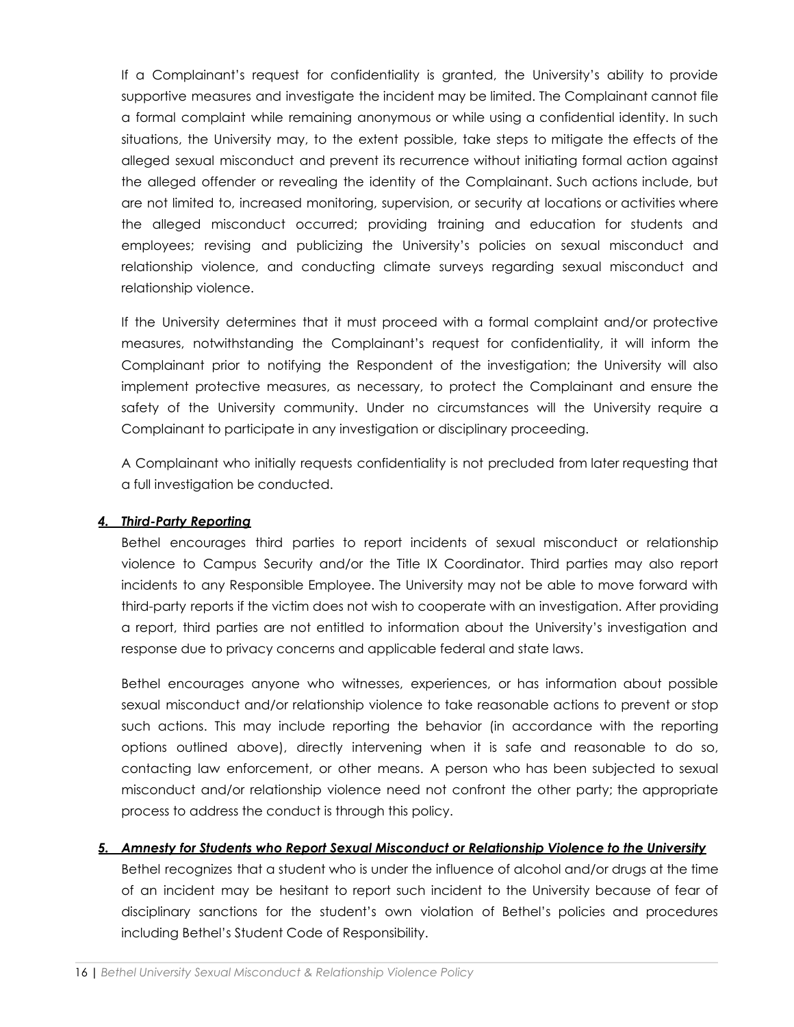If a Complainant's request for confidentiality is granted, the University's ability to provide supportive measures and investigate the incident may be limited. The Complainant cannot file a formal complaint while remaining anonymous or while using a confidential identity. In such situations, the University may, to the extent possible, take steps to mitigate the effects of the alleged sexual misconduct and prevent its recurrence without initiating formal action against the alleged offender or revealing the identity of the Complainant. Such actions include, but are not limited to, increased monitoring, supervision, or security at locations or activities where the alleged misconduct occurred; providing training and education for students and employees; revising and publicizing the University's policies on sexual misconduct and relationship violence, and conducting climate surveys regarding sexual misconduct and relationship violence.

If the University determines that it must proceed with a formal complaint and/or protective measures, notwithstanding the Complainant's request for confidentiality, it will inform the Complainant prior to notifying the Respondent of the investigation; the University will also implement protective measures, as necessary, to protect the Complainant and ensure the safety of the University community. Under no circumstances will the University require a Complainant to participate in any investigation or disciplinary proceeding.

A Complainant who initially requests confidentiality is not precluded from later requesting that a full investigation be conducted.

#### *4. Third-Party Reporting*

Bethel encourages third parties to report incidents of sexual misconduct or relationship violence to Campus Security and/or the Title IX Coordinator. Third parties may also report incidents to any Responsible Employee. The University may not be able to move forward with third-party reports if the victim does not wish to cooperate with an investigation. After providing a report, third parties are not entitled to information about the University's investigation and response due to privacy concerns and applicable federal and state laws.

Bethel encourages anyone who witnesses, experiences, or has information about possible sexual misconduct and/or relationship violence to take reasonable actions to prevent or stop such actions. This may include reporting the behavior (in accordance with the reporting options outlined above), directly intervening when it is safe and reasonable to do so, contacting law enforcement, or other means. A person who has been subjected to sexual misconduct and/or relationship violence need not confront the other party; the appropriate process to address the conduct is through this policy.

#### *5. Amnesty for Students who Report Sexual Misconduct or Relationship Violence to the University*

Bethel recognizes that a student who is under the influence of alcohol and/or drugs at the time of an incident may be hesitant to report such incident to the University because of fear of disciplinary sanctions for the student's own violation of Bethel's policies and procedures including Bethel's Student Code of Responsibility.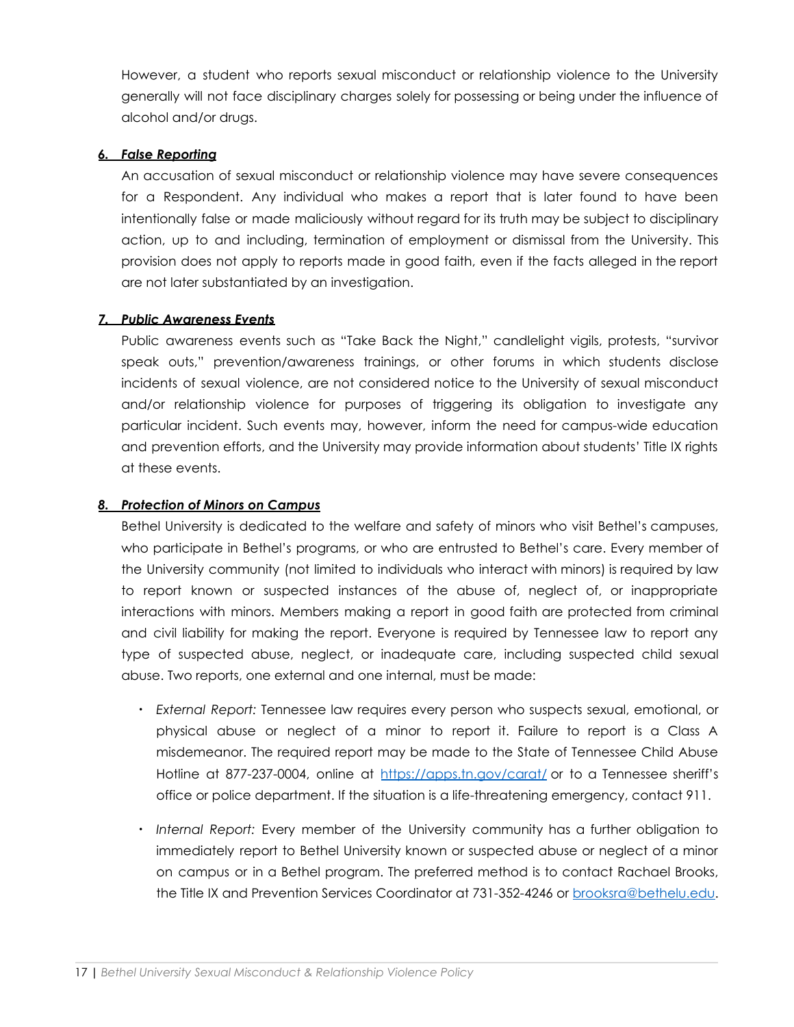However, a student who reports sexual misconduct or relationship violence to the University generally will not face disciplinary charges solely for possessing or being under the influence of alcohol and/or drugs.

#### *6. False Reporting*

An accusation of sexual misconduct or relationship violence may have severe consequences for a Respondent. Any individual who makes a report that is later found to have been intentionally false or made maliciously without regard for its truth may be subject to disciplinary action, up to and including, termination of employment or dismissal from the University. This provision does not apply to reports made in good faith, even if the facts alleged in the report are not later substantiated by an investigation.

#### *7. Public Awareness Events*

Public awareness events such as "Take Back the Night," candlelight vigils, protests, "survivor speak outs," prevention/awareness trainings, or other forums in which students disclose incidents of sexual violence, are not considered notice to the University of sexual misconduct and/or relationship violence for purposes of triggering its obligation to investigate any particular incident. Such events may, however, inform the need for campus-wide education and prevention efforts, and the University may provide information about students' Title IX rights at these events.

#### *8. Protection of Minors on Campus*

Bethel University is dedicated to the welfare and safety of minors who visit Bethel's campuses, who participate in Bethel's programs, or who are entrusted to Bethel's care. Every member of the University community (not limited to individuals who interact with minors) is required by law to report known or suspected instances of the abuse of, neglect of, or inappropriate interactions with minors. Members making a report in good faith are protected from criminal and civil liability for making the report. Everyone is required by Tennessee law to report any type of suspected abuse, neglect, or inadequate care, including suspected child sexual abuse. Two reports, one external and one internal, must be made:

- *External Report:* Tennessee law requires every person who suspects sexual, emotional, or physical abuse or neglect of a minor to report it. Failure to report is a Class A misdemeanor. The required report may be made to the State of Tennessee Child Abuse Hotline at 877-237-0004, online at <https://apps.tn.gov/carat/> or to a Tennessee sheriff's office or police department. If the situation is a life-threatening emergency, contact 911.
- *Internal Report:* Every member of the University community has a further obligation to immediately report to Bethel University known or suspected abuse or neglect of a minor on campus or in a Bethel program. The preferred method is to contact Rachael Brooks, the Title IX and Prevention Services Coordinator at 731-352-4246 or [brooksra@bethelu.edu.](mailto:brooksra@bethelu.edu)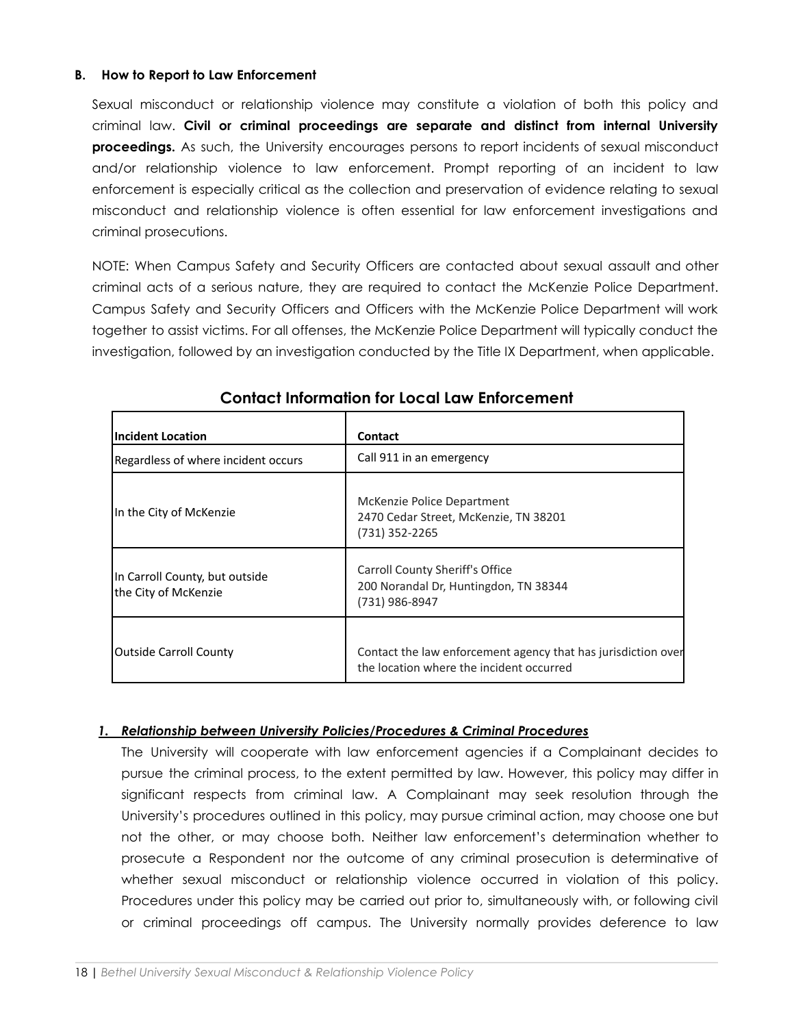#### **B. How to Report to Law Enforcement**

Sexual misconduct or relationship violence may constitute a violation of both this policy and criminal law. **Civil or criminal proceedings are separate and distinct from internal University proceedings.** As such, the University encourages persons to report incidents of sexual misconduct and/or relationship violence to law enforcement. Prompt reporting of an incident to law enforcement is especially critical as the collection and preservation of evidence relating to sexual misconduct and relationship violence is often essential for law enforcement investigations and criminal prosecutions.

NOTE: When Campus Safety and Security Officers are contacted about sexual assault and other criminal acts of a serious nature, they are required to contact the McKenzie Police Department. Campus Safety and Security Officers and Officers with the McKenzie Police Department will work together to assist victims. For all offenses, the McKenzie Police Department will typically conduct the investigation, followed by an investigation conducted by the Title IX Department, when applicable.

| <b>Incident Location</b>                               | Contact                                                                                                   |
|--------------------------------------------------------|-----------------------------------------------------------------------------------------------------------|
| Regardless of where incident occurs                    | Call 911 in an emergency                                                                                  |
| In the City of McKenzie                                | McKenzie Police Department<br>2470 Cedar Street, McKenzie, TN 38201<br>(731) 352-2265                     |
| In Carroll County, but outside<br>the City of McKenzie | Carroll County Sheriff's Office<br>200 Norandal Dr, Huntingdon, TN 38344<br>(731) 986-8947                |
| <b>Outside Carroll County</b>                          | Contact the law enforcement agency that has jurisdiction over<br>the location where the incident occurred |

# **Contact Information for Local Law Enforcement**

#### *1. Relationship between University Policies/Procedures & Criminal Procedures*

The University will cooperate with law enforcement agencies if a Complainant decides to pursue the criminal process, to the extent permitted by law. However, this policy may differ in significant respects from criminal law. A Complainant may seek resolution through the University's procedures outlined in this policy, may pursue criminal action, may choose one but not the other, or may choose both. Neither law enforcement's determination whether to prosecute a Respondent nor the outcome of any criminal prosecution is determinative of whether sexual misconduct or relationship violence occurred in violation of this policy. Procedures under this policy may be carried out prior to, simultaneously with, or following civil or criminal proceedings off campus. The University normally provides deference to law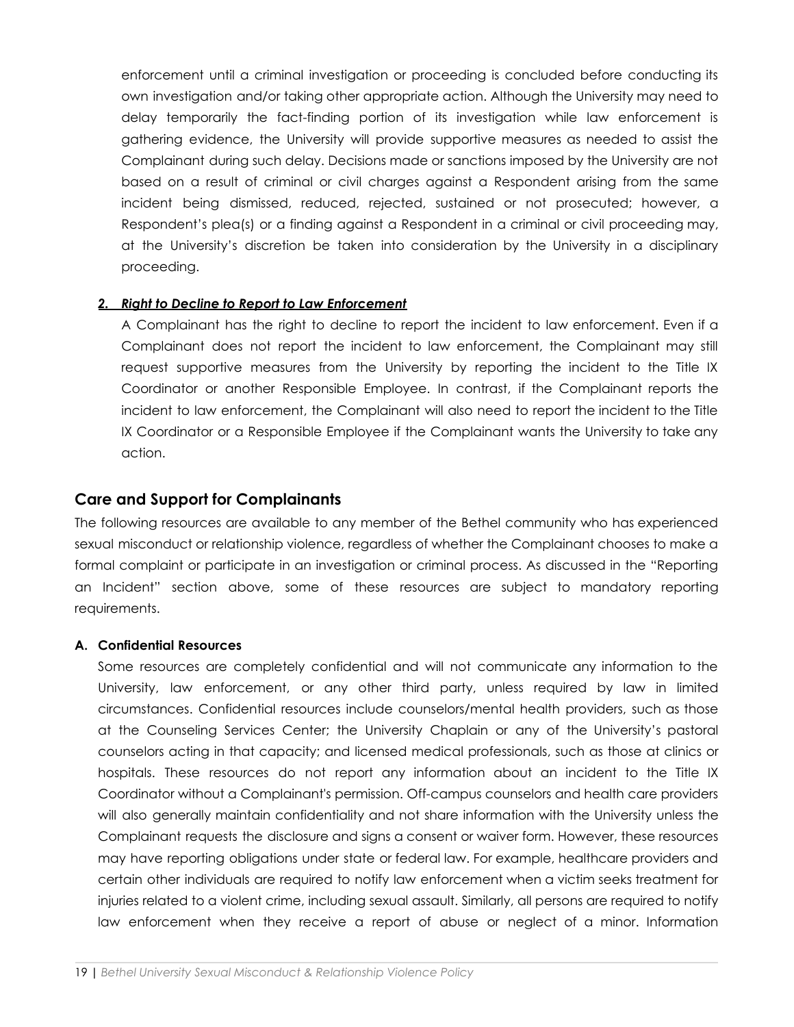enforcement until a criminal investigation or proceeding is concluded before conducting its own investigation and/or taking other appropriate action. Although the University may need to delay temporarily the fact-finding portion of its investigation while law enforcement is gathering evidence, the University will provide supportive measures as needed to assist the Complainant during such delay. Decisions made or sanctions imposed by the University are not based on a result of criminal or civil charges against a Respondent arising from the same incident being dismissed, reduced, rejected, sustained or not prosecuted; however, a Respondent's plea(s) or a finding against a Respondent in a criminal or civil proceeding may, at the University's discretion be taken into consideration by the University in a disciplinary proceeding.

#### *2. Right to Decline to Report to Law Enforcement*

A Complainant has the right to decline to report the incident to law enforcement. Even if a Complainant does not report the incident to law enforcement, the Complainant may still request supportive measures from the University by reporting the incident to the Title IX Coordinator or another Responsible Employee. In contrast, if the Complainant reports the incident to law enforcement, the Complainant will also need to report the incident to the Title IX Coordinator or a Responsible Employee if the Complainant wants the University to take any action.

#### **Care and Support for Complainants**

The following resources are available to any member of the Bethel community who has experienced sexual misconduct or relationship violence, regardless of whether the Complainant chooses to make a formal complaint or participate in an investigation or criminal process. As discussed in the "Reporting an Incident" section above, some of these resources are subject to mandatory reporting requirements.

#### **A. Confidential Resources**

Some resources are completely confidential and will not communicate any information to the University, law enforcement, or any other third party, unless required by law in limited circumstances. Confidential resources include counselors/mental health providers, such as those at the Counseling Services Center; the University Chaplain or any of the University's pastoral counselors acting in that capacity; and licensed medical professionals, such as those at clinics or hospitals. These resources do not report any information about an incident to the Title IX Coordinator without a Complainant's permission. Off-campus counselors and health care providers will also generally maintain confidentiality and not share information with the University unless the Complainant requests the disclosure and signs a consent or waiver form. However, these resources may have reporting obligations under state or federal law. For example, healthcare providers and certain other individuals are required to notify law enforcement when a victim seeks treatment for injuries related to a violent crime, including sexual assault. Similarly, all persons are required to notify law enforcement when they receive a report of abuse or neglect of a minor. Information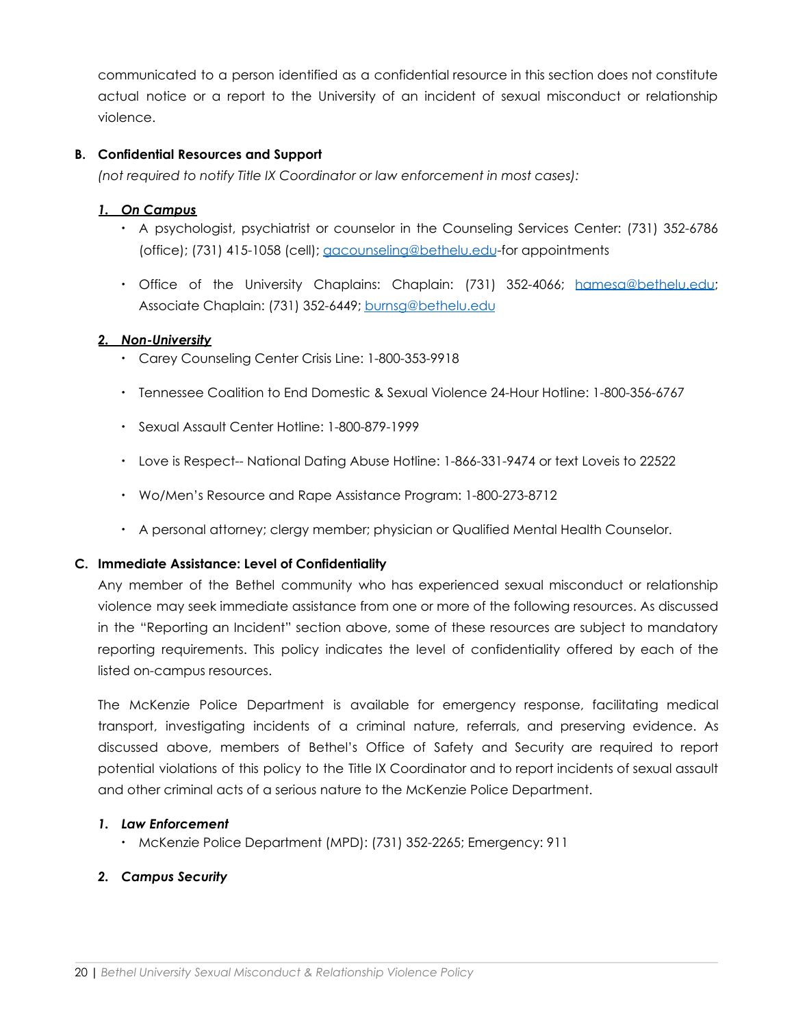communicated to a person identified as a confidential resource in this section does not constitute actual notice or a report to the University of an incident of sexual misconduct or relationship violence.

#### **B. Confidential Resources and Support**

*(not required to notify Title IX Coordinator or law enforcement in most cases):*

## *1. On Campus*

- A psychologist, psychiatrist or counselor in the Counseling Services Center: (731) 352-6786 (office); (731) 415-1058 (cell); [gacounseling@bethelu.edu](mailto:gacounseling@bethelu.edu)-for appointments
- Office of the University Chaplains: Chaplain: (731) 352-4066; [hamesa@bethelu.edu](mailto:hamesa@bethelu.edu); Associate Chaplain: (731) 352-6449; [burnsg@bethelu.edu](mailto:burnsg@bethelu.edu)

## *2. Non-University*

- Carey Counseling Center Crisis Line: 1-800-353-9918
- Tennessee Coalition to End Domestic & Sexual Violence 24-Hour Hotline: 1-800-356-6767
- Sexual Assault Center Hotline: 1-800-879-1999
- Love is Respect-- National Dating Abuse Hotline: 1-866-331-9474 or text Loveis to 22522
- Wo/Men's Resource and Rape Assistance Program: 1-800-273-8712
- A personal attorney; clergy member; physician or Qualified Mental Health Counselor.

#### **C. Immediate Assistance: Level of Confidentiality**

Any member of the Bethel community who has experienced sexual misconduct or relationship violence may seek immediate assistance from one or more of the following resources. As discussed in the "Reporting an Incident" section above, some of these resources are subject to mandatory reporting requirements. This policy indicates the level of confidentiality offered by each of the listed on-campus resources.

The McKenzie Police Department is available for emergency response, facilitating medical transport, investigating incidents of a criminal nature, referrals, and preserving evidence. As discussed above, members of Bethel's Office of Safety and Security are required to report potential violations of this policy to the Title IX Coordinator and to report incidents of sexual assault and other criminal acts of a serious nature to the McKenzie Police Department.

#### *1. Law Enforcement*

• McKenzie Police Department (MPD): (731) 352-2265; Emergency: 911

# *2. Campus Security*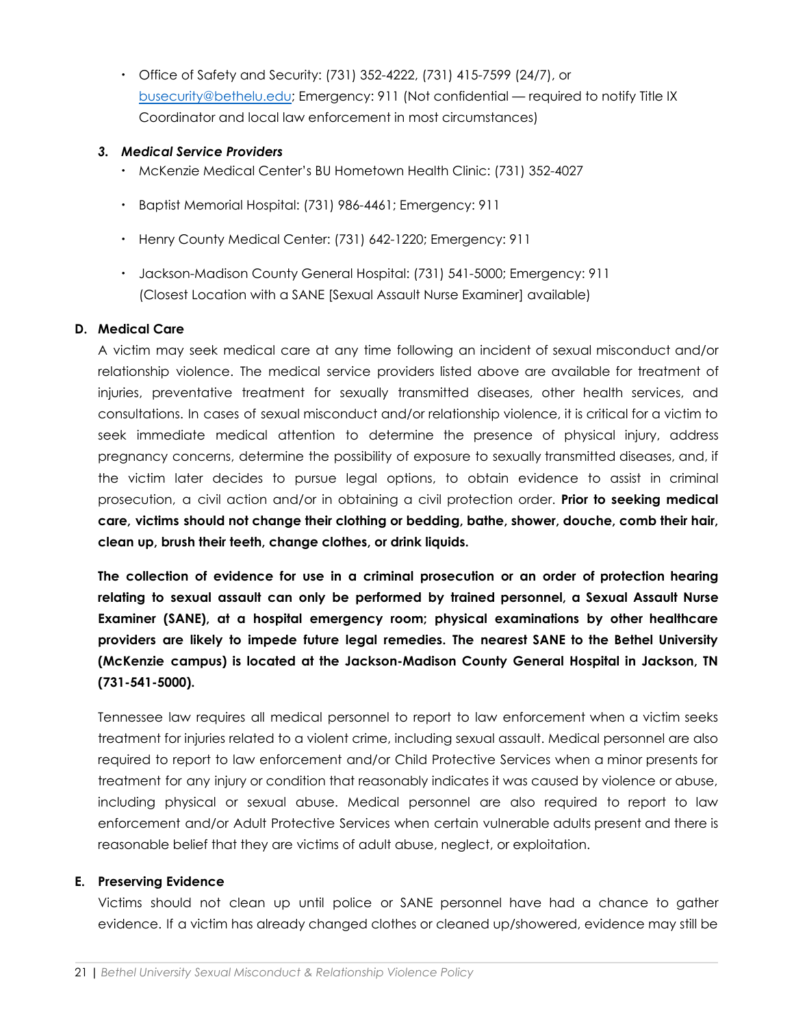• Office of Safety and Security: (731) 352-4222, (731) 415-7599 (24/7), or [busecurity@bethelu.edu;](mailto:busecurity@bethelu.edu) Emergency: 911 (Not confidential — required to notify Title IX Coordinator and local law enforcement in most circumstances)

#### *3. Medical Service Providers*

- McKenzie Medical Center's BU Hometown Health Clinic: (731) 352-4027
- Baptist Memorial Hospital: (731) 986-4461; Emergency: 911
- Henry County Medical Center: (731) 642-1220; Emergency: 911
- Jackson-Madison County General Hospital: (731) 541-5000; Emergency: 911 (Closest Location with a SANE [Sexual Assault Nurse Examiner] available)

## **D. Medical Care**

A victim may seek medical care at any time following an incident of sexual misconduct and/or relationship violence. The medical service providers listed above are available for treatment of injuries, preventative treatment for sexually transmitted diseases, other health services, and consultations. In cases of sexual misconduct and/or relationship violence, it is critical for a victim to seek immediate medical attention to determine the presence of physical injury, address pregnancy concerns, determine the possibility of exposure to sexually transmitted diseases, and, if the victim later decides to pursue legal options, to obtain evidence to assist in criminal prosecution, a civil action and/or in obtaining a civil protection order. **Prior to seeking medical care, victims should not change their clothing or bedding, bathe, shower, douche, comb their hair, clean up, brush their teeth, change clothes, or drink liquids.**

**The collection of evidence for use in a criminal prosecution or an order of protection hearing relating to sexual assault can only be performed by trained personnel, a Sexual Assault Nurse Examiner (SANE), at a hospital emergency room; physical examinations by other healthcare providers are likely to impede future legal remedies. The nearest SANE to the Bethel University (McKenzie campus) is located at the Jackson-Madison County General Hospital in Jackson, TN (731-541-5000).**

Tennessee law requires all medical personnel to report to law enforcement when a victim seeks treatment for injuries related to a violent crime, including sexual assault. Medical personnel are also required to report to law enforcement and/or Child Protective Services when a minor presents for treatment for any injury or condition that reasonably indicates it was caused by violence or abuse, including physical or sexual abuse. Medical personnel are also required to report to law enforcement and/or Adult Protective Services when certain vulnerable adults present and there is reasonable belief that they are victims of adult abuse, neglect, or exploitation.

#### **E. Preserving Evidence**

Victims should not clean up until police or SANE personnel have had a chance to gather evidence. If a victim has already changed clothes or cleaned up/showered, evidence may still be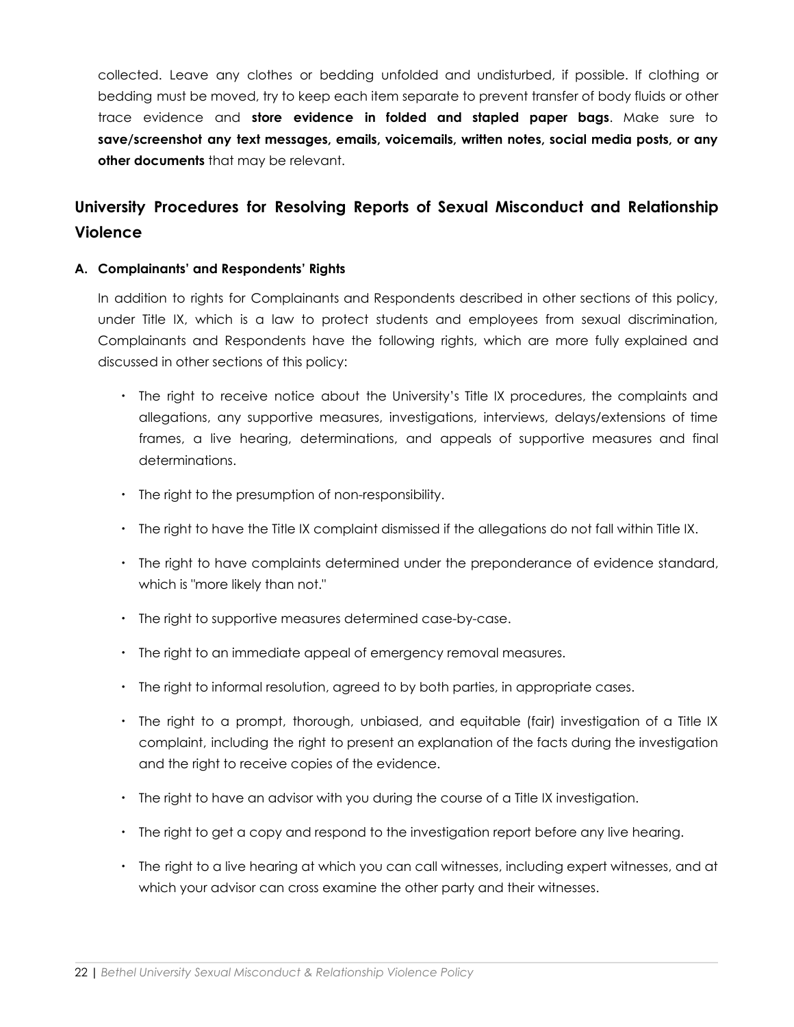collected. Leave any clothes or bedding unfolded and undisturbed, if possible. If clothing or bedding must be moved, try to keep each item separate to prevent transfer of body fluids or other trace evidence and **store evidence in folded and stapled paper bags**. Make sure to **save/screenshot any text messages, emails, voicemails, written notes, social media posts, or any other documents** that may be relevant.

# **University Procedures for Resolving Reports of Sexual Misconduct and Relationship Violence**

#### **A. Complainants' and Respondents' Rights**

In addition to rights for Complainants and Respondents described in other sections of this policy, under Title IX, which is a law to protect students and employees from sexual discrimination, Complainants and Respondents have the following rights, which are more fully explained and discussed in other sections of this policy:

- The right to receive notice about the University's Title IX procedures, the complaints and allegations, any supportive measures, investigations, interviews, delays/extensions of time frames, a live hearing, determinations, and appeals of supportive measures and final determinations.
- The right to the presumption of non-responsibility.
- The right to have the Title IX complaint dismissed if the allegations do not fall within Title IX.
- The right to have complaints determined under the preponderance of evidence standard, which is "more likely than not."
- The right to supportive measures determined case-by-case.
- The right to an immediate appeal of emergency removal measures.
- The right to informal resolution, agreed to by both parties, in appropriate cases.
- The right to a prompt, thorough, unbiased, and equitable (fair) investigation of a Title IX complaint, including the right to present an explanation of the facts during the investigation and the right to receive copies of the evidence.
- The right to have an advisor with you during the course of a Title IX investigation.
- The right to get a copy and respond to the investigation report before any live hearing.
- The right to a live hearing at which you can call witnesses, including expert witnesses, and at which your advisor can cross examine the other party and their witnesses.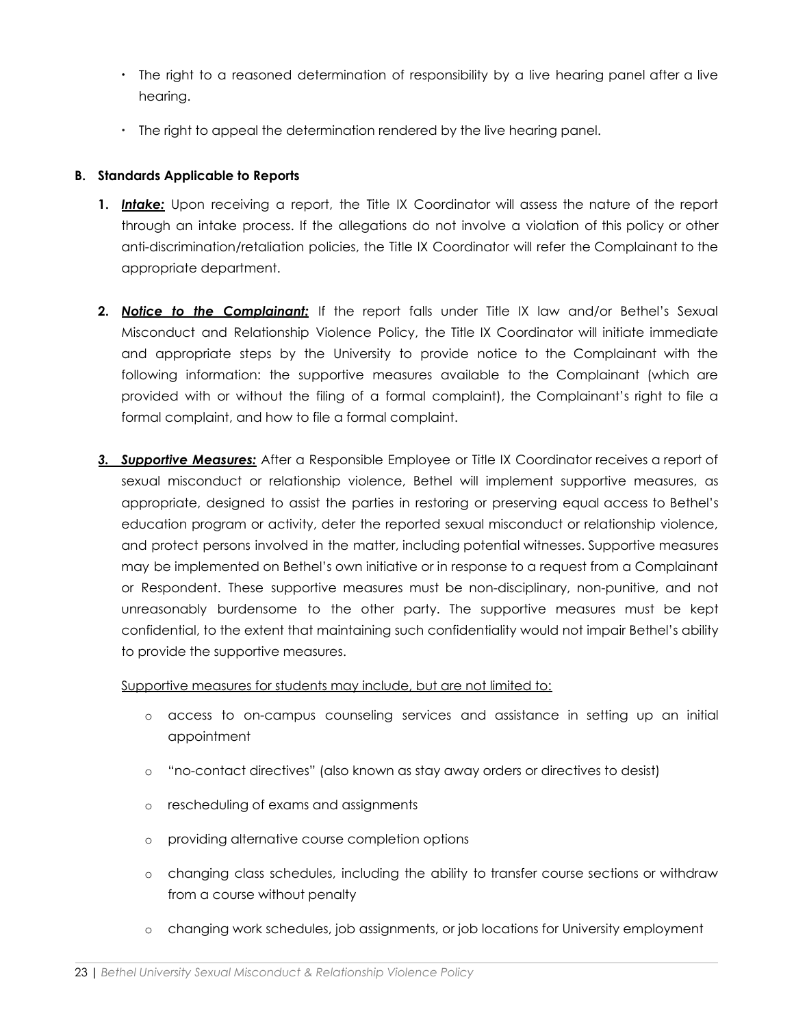- The right to a reasoned determination of responsibility by a live hearing panel after a live hearing.
- The right to appeal the determination rendered by the live hearing panel.

## **B. Standards Applicable to Reports**

- **1.** *Intake:* Upon receiving a report, the Title IX Coordinator will assess the nature of the report through an intake process. If the allegations do not involve a violation of this policy or other anti-discrimination/retaliation policies, the Title IX Coordinator will refer the Complainant to the appropriate department.
- **2.** *Notice to the Complainant:* If the report falls under Title IX law and/or Bethel's Sexual Misconduct and Relationship Violence Policy, the Title IX Coordinator will initiate immediate and appropriate steps by the University to provide notice to the Complainant with the following information: the supportive measures available to the Complainant (which are provided with or without the filing of a formal complaint), the Complainant's right to file a formal complaint, and how to file a formal complaint.
- *3. Supportive Measures:* After a Responsible Employee or Title IX Coordinator receives a report of sexual misconduct or relationship violence, Bethel will implement supportive measures, as appropriate, designed to assist the parties in restoring or preserving equal access to Bethel's education program or activity, deter the reported sexual misconduct or relationship violence, and protect persons involved in the matter, including potential witnesses. Supportive measures may be implemented on Bethel's own initiative or in response to a request from a Complainant or Respondent. These supportive measures must be non-disciplinary, non-punitive, and not unreasonably burdensome to the other party. The supportive measures must be kept confidential, to the extent that maintaining such confidentiality would not impair Bethel's ability to provide the supportive measures.

#### Supportive measures for students may include, but are not limited to:

- o access to on-campus counseling services and assistance in setting up an initial appointment
- o "no-contact directives" (also known as stay away orders or directives to desist)
- o rescheduling of exams and assignments
- o providing alternative course completion options
- o changing class schedules, including the ability to transfer course sections or withdraw from a course without penalty
- o changing work schedules, job assignments, or job locations for University employment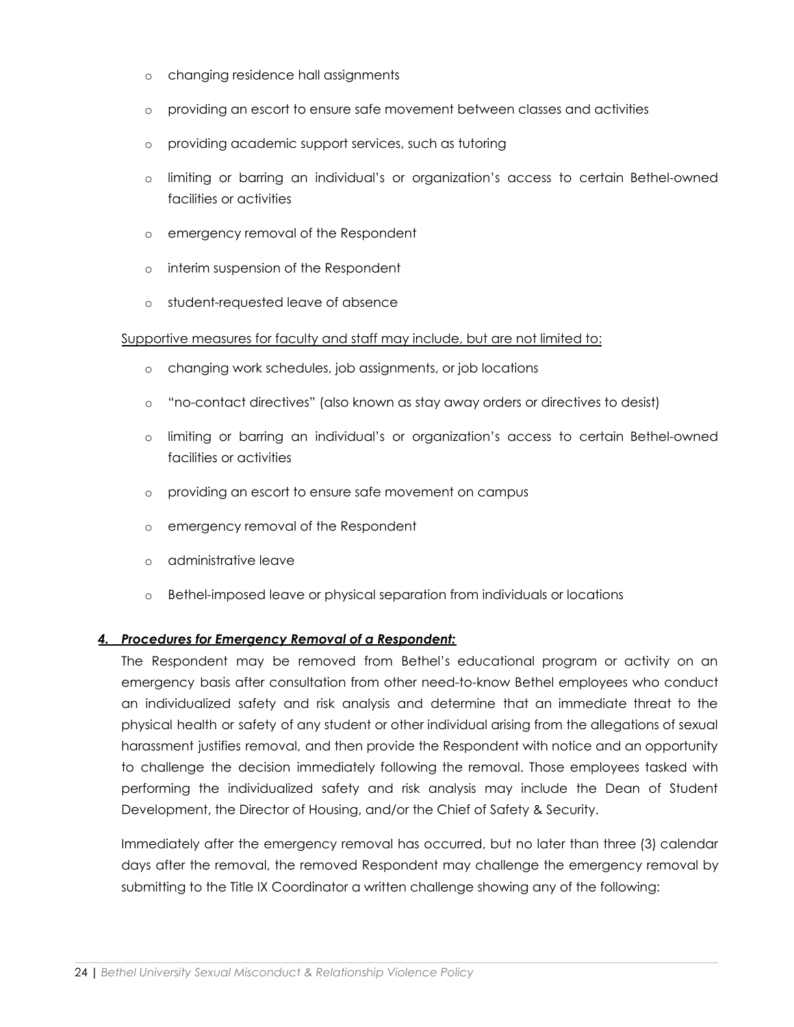- o changing residence hall assignments
- o providing an escort to ensure safe movement between classes and activities
- o providing academic support services, such as tutoring
- o limiting or barring an individual's or organization's access to certain Bethel-owned facilities or activities
- o emergency removal of the Respondent
- o interim suspension of the Respondent
- o student-requested leave of absence

#### Supportive measures for faculty and staff may include, but are not limited to:

- o changing work schedules, job assignments, or job locations
- o "no-contact directives" (also known as stay away orders or directives to desist)
- o limiting or barring an individual's or organization's access to certain Bethel-owned facilities or activities
- o providing an escort to ensure safe movement on campus
- o emergency removal of the Respondent
- o administrative leave
- o Bethel-imposed leave or physical separation from individuals or locations

#### *4. Procedures for Emergency Removal of a Respondent:*

The Respondent may be removed from Bethel's educational program or activity on an emergency basis after consultation from other need-to-know Bethel employees who conduct an individualized safety and risk analysis and determine that an immediate threat to the physical health or safety of any student or other individual arising from the allegations of sexual harassment justifies removal, and then provide the Respondent with notice and an opportunity to challenge the decision immediately following the removal. Those employees tasked with performing the individualized safety and risk analysis may include the Dean of Student Development, the Director of Housing, and/or the Chief of Safety & Security.

Immediately after the emergency removal has occurred, but no later than three (3) calendar days after the removal, the removed Respondent may challenge the emergency removal by submitting to the Title IX Coordinator a written challenge showing any of the following: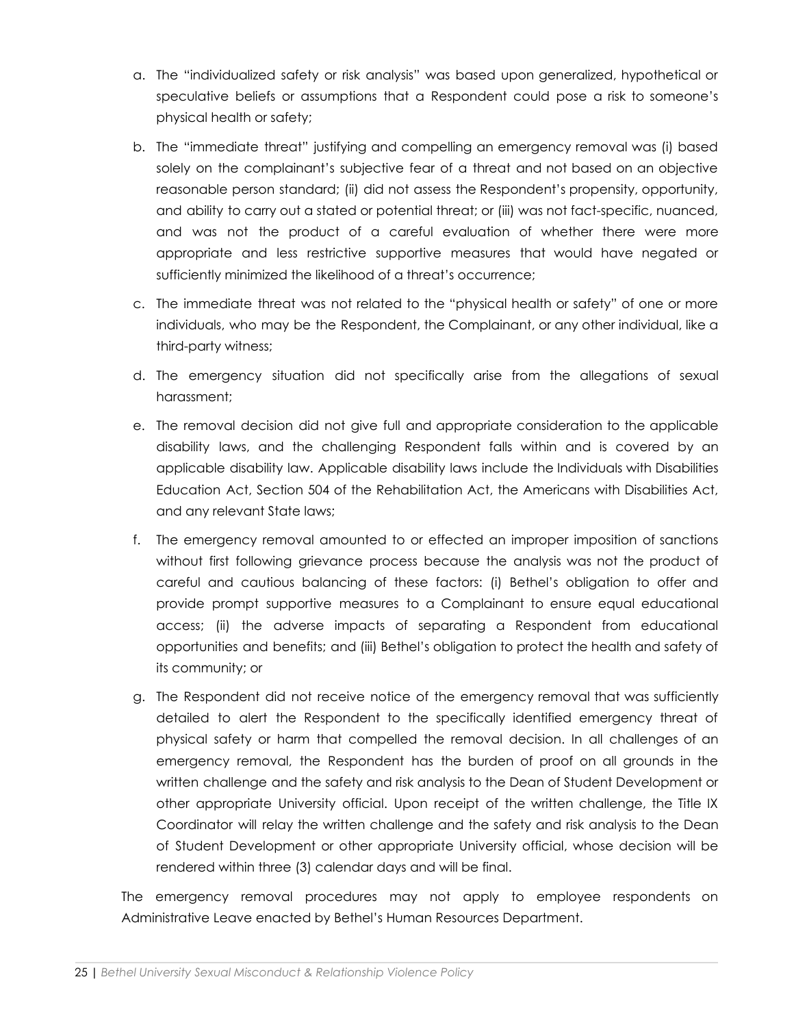- a. The "individualized safety or risk analysis" was based upon generalized, hypothetical or speculative beliefs or assumptions that a Respondent could pose a risk to someone's physical health or safety;
- b. The "immediate threat" justifying and compelling an emergency removal was (i) based solely on the complainant's subjective fear of a threat and not based on an objective reasonable person standard; (ii) did not assess the Respondent's propensity, opportunity, and ability to carry out a stated or potential threat; or (iii) was not fact-specific, nuanced, and was not the product of a careful evaluation of whether there were more appropriate and less restrictive supportive measures that would have negated or sufficiently minimized the likelihood of a threat's occurrence;
- c. The immediate threat was not related to the "physical health or safety" of one or more individuals, who may be the Respondent, the Complainant, or any other individual, like a third-party witness;
- d. The emergency situation did not specifically arise from the allegations of sexual harassment;
- e. The removal decision did not give full and appropriate consideration to the applicable disability laws, and the challenging Respondent falls within and is covered by an applicable disability law. Applicable disability laws include the Individuals with Disabilities Education Act, Section 504 of the Rehabilitation Act, the Americans with Disabilities Act, and any relevant State laws;
- f. The emergency removal amounted to or effected an improper imposition of sanctions without first following grievance process because the analysis was not the product of careful and cautious balancing of these factors: (i) Bethel's obligation to offer and provide prompt supportive measures to a Complainant to ensure equal educational access; (ii) the adverse impacts of separating a Respondent from educational opportunities and benefits; and (iii) Bethel's obligation to protect the health and safety of its community; or
- g. The Respondent did not receive notice of the emergency removal that was sufficiently detailed to alert the Respondent to the specifically identified emergency threat of physical safety or harm that compelled the removal decision. In all challenges of an emergency removal, the Respondent has the burden of proof on all grounds in the written challenge and the safety and risk analysis to the Dean of Student Development or other appropriate University official. Upon receipt of the written challenge, the Title IX Coordinator will relay the written challenge and the safety and risk analysis to the Dean of Student Development or other appropriate University official, whose decision will be rendered within three (3) calendar days and will be final.

The emergency removal procedures may not apply to employee respondents on Administrative Leave enacted by Bethel's Human Resources Department.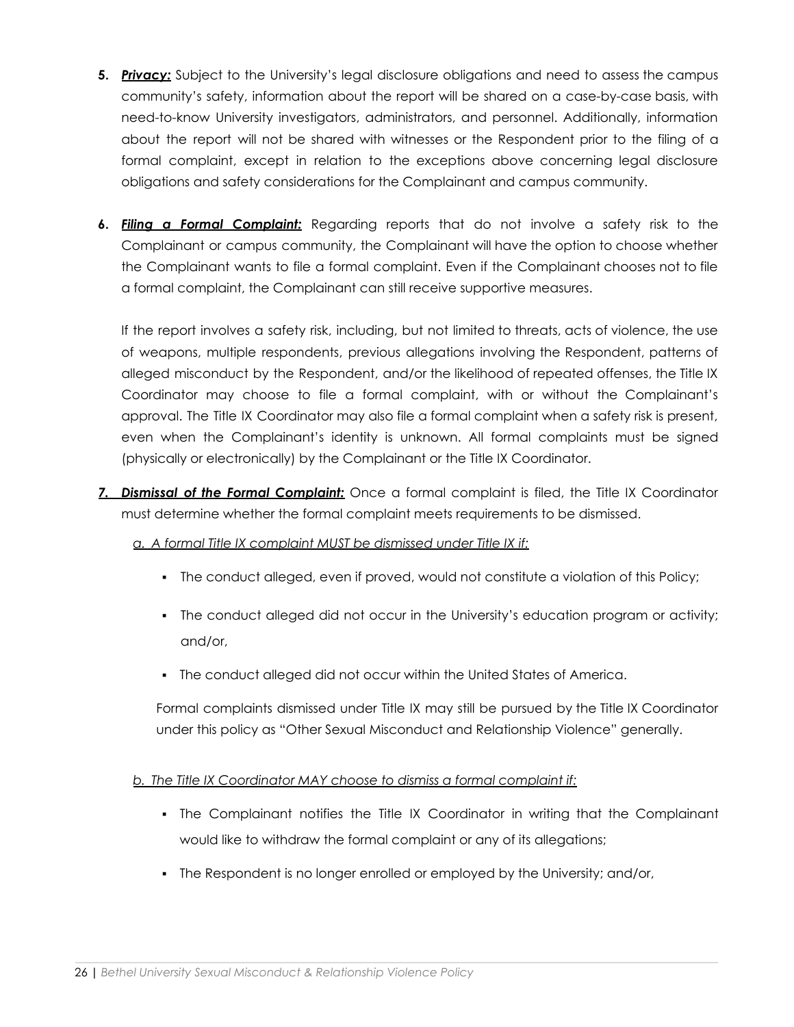- **5.** *Privacy:* Subject to the University's legal disclosure obligations and need to assess the campus community's safety, information about the report will be shared on a case-by-case basis, with need-to-know University investigators, administrators, and personnel. Additionally, information about the report will not be shared with witnesses or the Respondent prior to the filing of a formal complaint, except in relation to the exceptions above concerning legal disclosure obligations and safety considerations for the Complainant and campus community.
- **6.** *Filing a Formal Complaint:* Regarding reports that do not involve a safety risk to the Complainant or campus community, the Complainant will have the option to choose whether the Complainant wants to file a formal complaint. Even if the Complainant chooses not to file a formal complaint, the Complainant can still receive supportive measures.

If the report involves a safety risk, including, but not limited to threats, acts of violence, the use of weapons, multiple respondents, previous allegations involving the Respondent, patterns of alleged misconduct by the Respondent, and/or the likelihood of repeated offenses, the Title IX Coordinator may choose to file a formal complaint, with or without the Complainant's approval. The Title IX Coordinator may also file a formal complaint when a safety risk is present, even when the Complainant's identity is unknown. All formal complaints must be signed (physically or electronically) by the Complainant or the Title IX Coordinator.

*7. Dismissal of the Formal Complaint:* Once a formal complaint is filed, the Title IX Coordinator must determine whether the formal complaint meets requirements to be dismissed.

#### *a. A formal Title IX complaint MUST be dismissed under Title IX if:*

- The conduct alleged, even if proved, would not constitute a violation of this Policy;
- The conduct alleged did not occur in the University's education program or activity; and/or,
- **The conduct alleged did not occur within the United States of America.**

Formal complaints dismissed under Title IX may still be pursued by the Title IX Coordinator under this policy as "Other Sexual Misconduct and Relationship Violence" generally.

# *b. The Title IX Coordinator MAY choose to dismiss a formal complaint if:*

- The Complainant notifies the Title IX Coordinator in writing that the Complainant would like to withdraw the formal complaint or any of its allegations;
- The Respondent is no longer enrolled or employed by the University; and/or,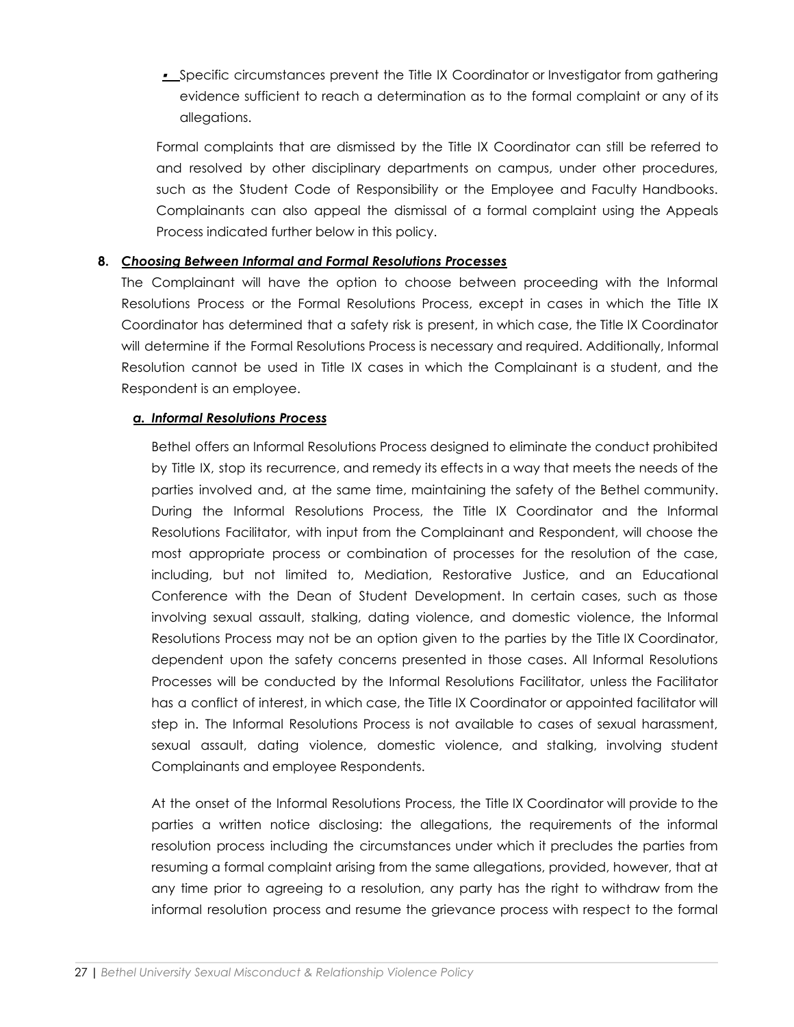▪ Specific circumstances prevent the Title IX Coordinator or Investigator from gathering evidence sufficient to reach a determination as to the formal complaint or any of its allegations.

Formal complaints that are dismissed by the Title IX Coordinator can still be referred to and resolved by other disciplinary departments on campus, under other procedures, such as the Student Code of Responsibility or the Employee and Faculty Handbooks. Complainants can also appeal the dismissal of a formal complaint using the Appeals Process indicated further below in this policy.

## **8.** *Choosing Between Informal and Formal Resolutions Processes*

The Complainant will have the option to choose between proceeding with the Informal Resolutions Process or the Formal Resolutions Process, except in cases in which the Title IX Coordinator has determined that a safety risk is present, in which case, the Title IX Coordinator will determine if the Formal Resolutions Process is necessary and required. Additionally, Informal Resolution cannot be used in Title IX cases in which the Complainant is a student, and the Respondent is an employee.

#### *a. Informal Resolutions Process*

Bethel offers an Informal Resolutions Process designed to eliminate the conduct prohibited by Title IX, stop its recurrence, and remedy its effects in a way that meets the needs of the parties involved and, at the same time, maintaining the safety of the Bethel community. During the Informal Resolutions Process, the Title IX Coordinator and the Informal Resolutions Facilitator, with input from the Complainant and Respondent, will choose the most appropriate process or combination of processes for the resolution of the case, including, but not limited to, Mediation, Restorative Justice, and an Educational Conference with the Dean of Student Development. In certain cases, such as those involving sexual assault, stalking, dating violence, and domestic violence, the Informal Resolutions Process may not be an option given to the parties by the Title IX Coordinator, dependent upon the safety concerns presented in those cases. All Informal Resolutions Processes will be conducted by the Informal Resolutions Facilitator, unless the Facilitator has a conflict of interest, in which case, the Title IX Coordinator or appointed facilitator will step in. The Informal Resolutions Process is not available to cases of sexual harassment, sexual assault, dating violence, domestic violence, and stalking, involving student Complainants and employee Respondents.

At the onset of the Informal Resolutions Process, the Title IX Coordinator will provide to the parties a written notice disclosing: the allegations, the requirements of the informal resolution process including the circumstances under which it precludes the parties from resuming a formal complaint arising from the same allegations, provided, however, that at any time prior to agreeing to a resolution, any party has the right to withdraw from the informal resolution process and resume the grievance process with respect to the formal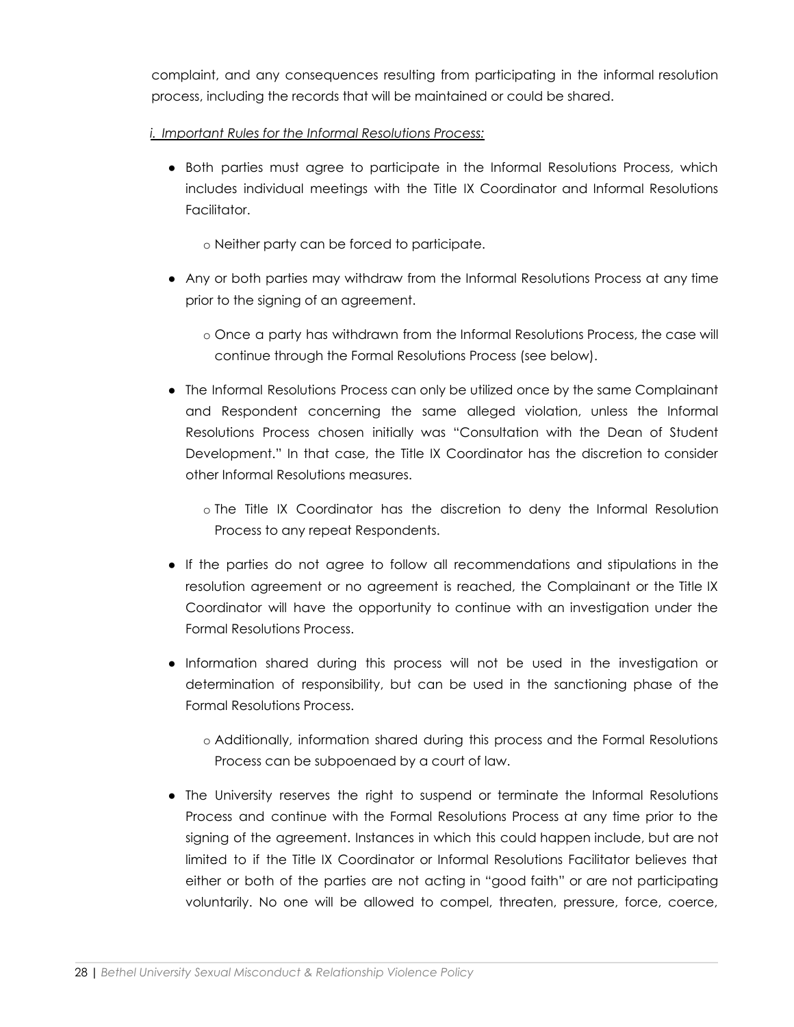complaint, and any consequences resulting from participating in the informal resolution process, including the records that will be maintained or could be shared.

## *i. Important Rules for the Informal Resolutions Process:*

- Both parties must agree to participate in the Informal Resolutions Process, which includes individual meetings with the Title IX Coordinator and Informal Resolutions Facilitator.
	- o Neither party can be forced to participate.
- Any or both parties may withdraw from the Informal Resolutions Process at any time prior to the signing of an agreement.
	- o Once a party has withdrawn from the Informal Resolutions Process, the case will continue through the Formal Resolutions Process (see below).
- The Informal Resolutions Process can only be utilized once by the same Complainant and Respondent concerning the same alleged violation, unless the Informal Resolutions Process chosen initially was "Consultation with the Dean of Student Development." In that case, the Title IX Coordinator has the discretion to consider other Informal Resolutions measures.
	- o The Title IX Coordinator has the discretion to deny the Informal Resolution Process to any repeat Respondents.
- If the parties do not agree to follow all recommendations and stipulations in the resolution agreement or no agreement is reached, the Complainant or the Title IX Coordinator will have the opportunity to continue with an investigation under the Formal Resolutions Process.
- Information shared during this process will not be used in the investigation or determination of responsibility, but can be used in the sanctioning phase of the Formal Resolutions Process.
	- o Additionally, information shared during this process and the Formal Resolutions Process can be subpoenaed by a court of law.
- The University reserves the right to suspend or terminate the Informal Resolutions Process and continue with the Formal Resolutions Process at any time prior to the signing of the agreement. Instances in which this could happen include, but are not limited to if the Title IX Coordinator or Informal Resolutions Facilitator believes that either or both of the parties are not acting in "good faith" or are not participating voluntarily. No one will be allowed to compel, threaten, pressure, force, coerce,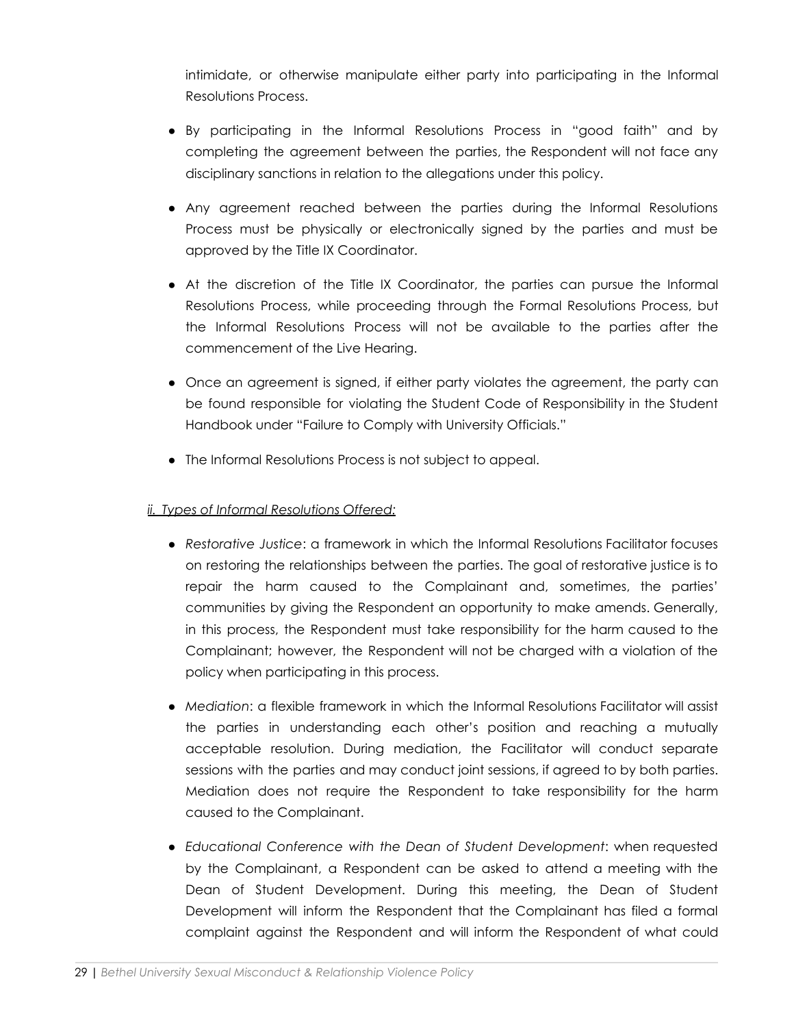intimidate, or otherwise manipulate either party into participating in the Informal Resolutions Process.

- By participating in the Informal Resolutions Process in "good faith" and by completing the agreement between the parties, the Respondent will not face any disciplinary sanctions in relation to the allegations under this policy.
- Any agreement reached between the parties during the Informal Resolutions Process must be physically or electronically signed by the parties and must be approved by the Title IX Coordinator.
- At the discretion of the Title IX Coordinator, the parties can pursue the Informal Resolutions Process, while proceeding through the Formal Resolutions Process, but the Informal Resolutions Process will not be available to the parties after the commencement of the Live Hearing.
- Once an agreement is signed, if either party violates the agreement, the party can be found responsible for violating the Student Code of Responsibility in the Student Handbook under "Failure to Comply with University Officials."
- The Informal Resolutions Process is not subject to appeal.

# *ii. Types of Informal Resolutions Offered:*

- *Restorative Justice*: a framework in which the Informal Resolutions Facilitator focuses on restoring the relationships between the parties. The goal of restorative justice is to repair the harm caused to the Complainant and, sometimes, the parties' communities by giving the Respondent an opportunity to make amends. Generally, in this process, the Respondent must take responsibility for the harm caused to the Complainant; however, the Respondent will not be charged with a violation of the policy when participating in this process.
- *Mediation*: a flexible framework in which the Informal Resolutions Facilitator will assist the parties in understanding each other's position and reaching a mutually acceptable resolution. During mediation, the Facilitator will conduct separate sessions with the parties and may conduct joint sessions, if agreed to by both parties. Mediation does not require the Respondent to take responsibility for the harm caused to the Complainant.
- *Educational Conference with the Dean of Student Development*: when requested by the Complainant, a Respondent can be asked to attend a meeting with the Dean of Student Development. During this meeting, the Dean of Student Development will inform the Respondent that the Complainant has filed a formal complaint against the Respondent and will inform the Respondent of what could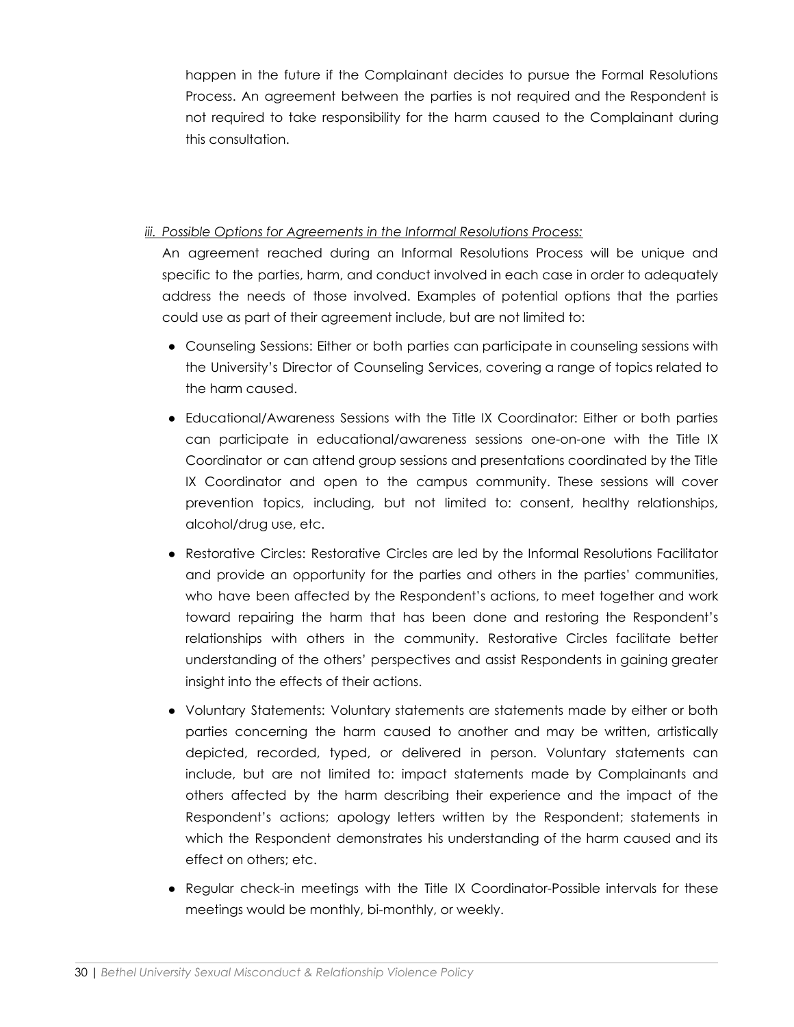happen in the future if the Complainant decides to pursue the Formal Resolutions Process. An agreement between the parties is not required and the Respondent is not required to take responsibility for the harm caused to the Complainant during this consultation.

## *iii. Possible Options for Agreements in the Informal Resolutions Process:*

An agreement reached during an Informal Resolutions Process will be unique and specific to the parties, harm, and conduct involved in each case in order to adequately address the needs of those involved. Examples of potential options that the parties could use as part of their agreement include, but are not limited to:

- Counseling Sessions: Either or both parties can participate in counseling sessions with the University's Director of Counseling Services, covering a range of topics related to the harm caused.
- Educational/Awareness Sessions with the Title IX Coordinator: Either or both parties can participate in educational/awareness sessions one-on-one with the Title IX Coordinator or can attend group sessions and presentations coordinated by the Title IX Coordinator and open to the campus community. These sessions will cover prevention topics, including, but not limited to: consent, healthy relationships, alcohol/drug use, etc.
- Restorative Circles: Restorative Circles are led by the Informal Resolutions Facilitator and provide an opportunity for the parties and others in the parties' communities, who have been affected by the Respondent's actions, to meet together and work toward repairing the harm that has been done and restoring the Respondent's relationships with others in the community. Restorative Circles facilitate better understanding of the others' perspectives and assist Respondents in gaining greater insight into the effects of their actions.
- **●** Voluntary Statements: Voluntary statements are statements made by either or both parties concerning the harm caused to another and may be written, artistically depicted, recorded, typed, or delivered in person. Voluntary statements can include, but are not limited to: impact statements made by Complainants and others affected by the harm describing their experience and the impact of the Respondent's actions; apology letters written by the Respondent; statements in which the Respondent demonstrates his understanding of the harm caused and its effect on others; etc.
- Regular check-in meetings with the Title IX Coordinator-Possible intervals for these meetings would be monthly, bi-monthly, or weekly.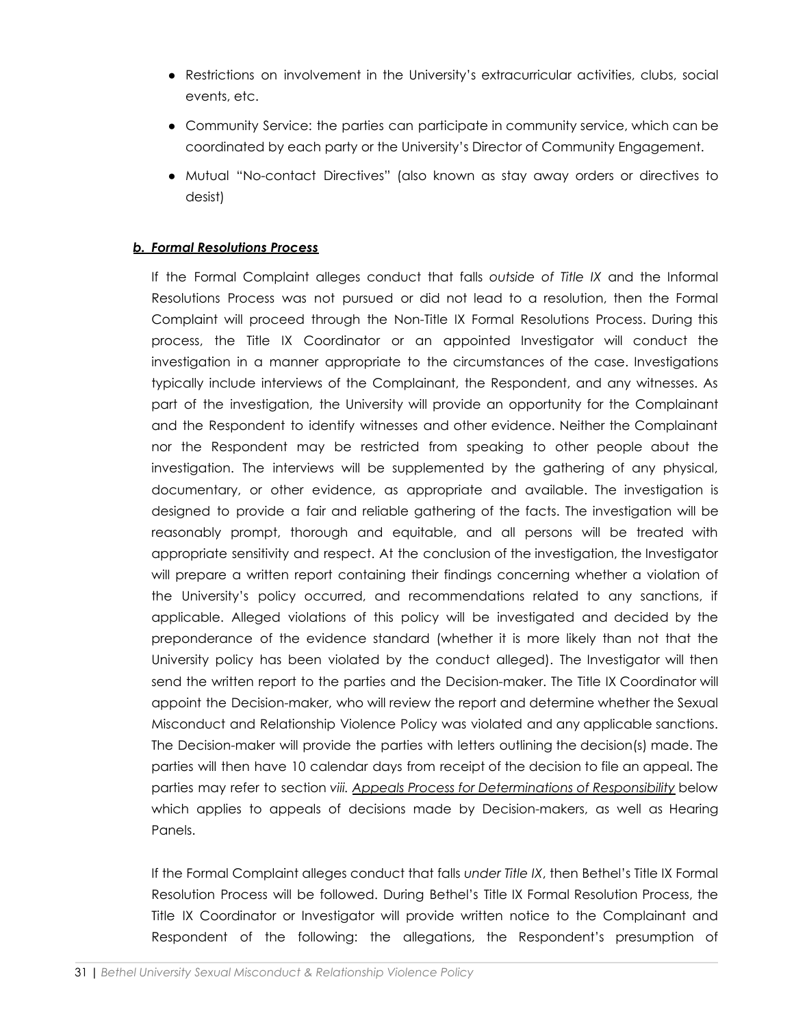- Restrictions on involvement in the University's extracurricular activities, clubs, social events, etc.
- Community Service: the parties can participate in community service, which can be coordinated by each party or the University's Director of Community Engagement.
- Mutual "No-contact Directives" (also known as stay away orders or directives to desist)

#### *b. Formal Resolutions Process*

If the Formal Complaint alleges conduct that falls *outside of Title IX* and the Informal Resolutions Process was not pursued or did not lead to a resolution, then the Formal Complaint will proceed through the Non-Title IX Formal Resolutions Process. During this process, the Title IX Coordinator or an appointed Investigator will conduct the investigation in a manner appropriate to the circumstances of the case. Investigations typically include interviews of the Complainant, the Respondent, and any witnesses. As part of the investigation, the University will provide an opportunity for the Complainant and the Respondent to identify witnesses and other evidence. Neither the Complainant nor the Respondent may be restricted from speaking to other people about the investigation. The interviews will be supplemented by the gathering of any physical, documentary, or other evidence, as appropriate and available. The investigation is designed to provide a fair and reliable gathering of the facts. The investigation will be reasonably prompt, thorough and equitable, and all persons will be treated with appropriate sensitivity and respect. At the conclusion of the investigation, the Investigator will prepare a written report containing their findings concerning whether a violation of the University's policy occurred, and recommendations related to any sanctions, if applicable. Alleged violations of this policy will be investigated and decided by the preponderance of the evidence standard (whether it is more likely than not that the University policy has been violated by the conduct alleged). The Investigator will then send the written report to the parties and the Decision-maker. The Title IX Coordinator will appoint the Decision-maker, who will review the report and determine whether the Sexual Misconduct and Relationship Violence Policy was violated and any applicable sanctions. The Decision-maker will provide the parties with letters outlining the decision(s) made. The parties will then have 10 calendar days from receipt of the decision to file an appeal. The parties may refer to section *viii. Appeals Process for Determinations of Responsibility* below which applies to appeals of decisions made by Decision-makers, as well as Hearing Panels.

If the Formal Complaint alleges conduct that falls *under Title IX*, then Bethel's Title IX Formal Resolution Process will be followed. During Bethel's Title IX Formal Resolution Process, the Title IX Coordinator or Investigator will provide written notice to the Complainant and Respondent of the following: the allegations, the Respondent's presumption of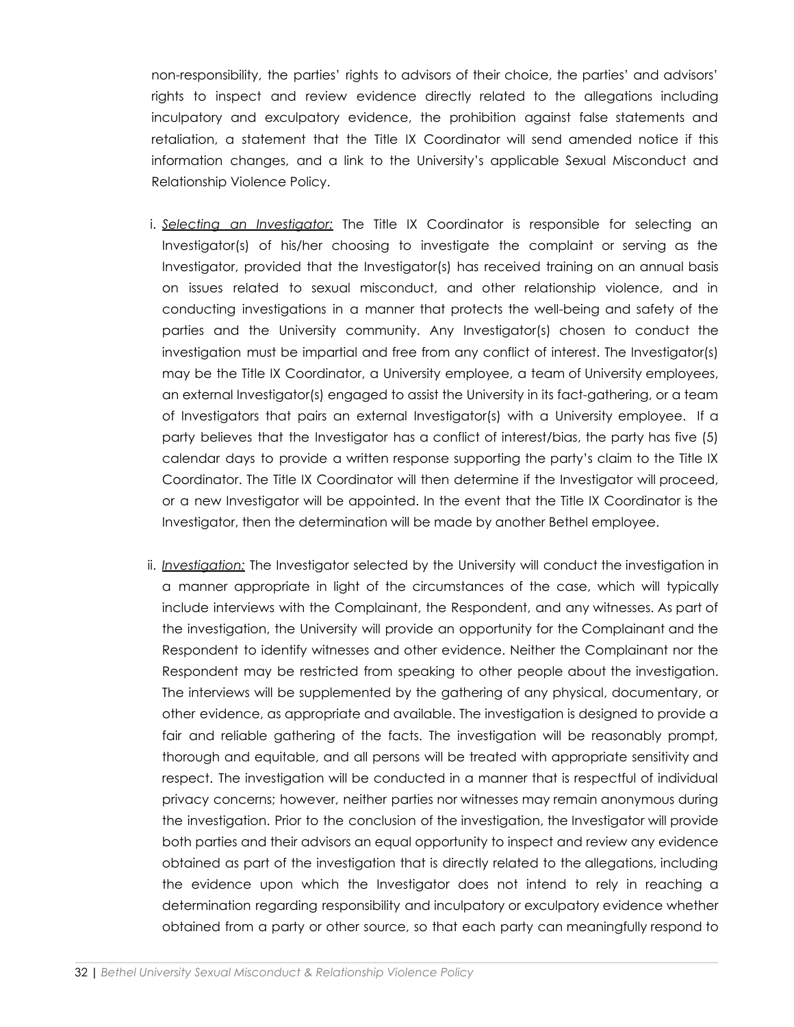non-responsibility, the parties' rights to advisors of their choice, the parties' and advisors' rights to inspect and review evidence directly related to the allegations including inculpatory and exculpatory evidence, the prohibition against false statements and retaliation, a statement that the Title IX Coordinator will send amended notice if this information changes, and a link to the University's applicable Sexual Misconduct and Relationship Violence Policy.

- i. *Selecting an Investigator:* The Title IX Coordinator is responsible for selecting an Investigator(s) of his/her choosing to investigate the complaint or serving as the Investigator, provided that the Investigator(s) has received training on an annual basis on issues related to sexual misconduct, and other relationship violence, and in conducting investigations in a manner that protects the well-being and safety of the parties and the University community. Any Investigator(s) chosen to conduct the investigation must be impartial and free from any conflict of interest. The Investigator(s) may be the Title IX Coordinator, a University employee, a team of University employees, an external Investigator(s) engaged to assist the University in its fact-gathering, or a team of Investigators that pairs an external Investigator(s) with a University employee. If a party believes that the Investigator has a conflict of interest/bias, the party has five (5) calendar days to provide a written response supporting the party's claim to the Title IX Coordinator. The Title IX Coordinator will then determine if the Investigator will proceed, or a new Investigator will be appointed. In the event that the Title IX Coordinator is the Investigator, then the determination will be made by another Bethel employee.
- ii. *Investigation:* The Investigator selected by the University will conduct the investigation in a manner appropriate in light of the circumstances of the case, which will typically include interviews with the Complainant, the Respondent, and any witnesses. As part of the investigation, the University will provide an opportunity for the Complainant and the Respondent to identify witnesses and other evidence. Neither the Complainant nor the Respondent may be restricted from speaking to other people about the investigation. The interviews will be supplemented by the gathering of any physical, documentary, or other evidence, as appropriate and available. The investigation is designed to provide a fair and reliable gathering of the facts. The investigation will be reasonably prompt, thorough and equitable, and all persons will be treated with appropriate sensitivity and respect. The investigation will be conducted in a manner that is respectful of individual privacy concerns; however, neither parties nor witnesses may remain anonymous during the investigation. Prior to the conclusion of the investigation, the Investigator will provide both parties and their advisors an equal opportunity to inspect and review any evidence obtained as part of the investigation that is directly related to the allegations, including the evidence upon which the Investigator does not intend to rely in reaching a determination regarding responsibility and inculpatory or exculpatory evidence whether obtained from a party or other source, so that each party can meaningfully respond to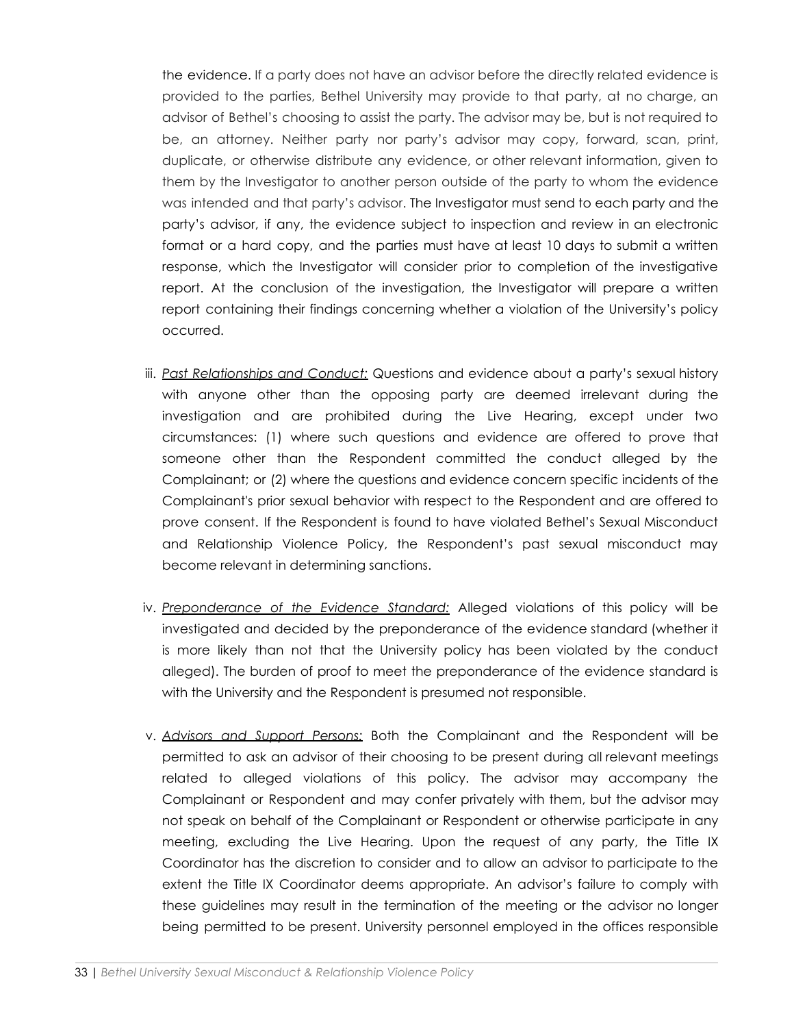the evidence. If a party does not have an advisor before the directly related evidence is provided to the parties, Bethel University may provide to that party, at no charge, an advisor of Bethel's choosing to assist the party. The advisor may be, but is not required to be, an attorney. Neither party nor party's advisor may copy, forward, scan, print, duplicate, or otherwise distribute any evidence, or other relevant information, given to them by the Investigator to another person outside of the party to whom the evidence was intended and that party's advisor. The Investigator must send to each party and the party's advisor, if any, the evidence subject to inspection and review in an electronic format or a hard copy, and the parties must have at least 10 days to submit a written response, which the Investigator will consider prior to completion of the investigative report. At the conclusion of the investigation, the Investigator will prepare a written report containing their findings concerning whether a violation of the University's policy occurred.

- iii. *Past Relationships and Conduct:* Questions and evidence about a party's sexual history with anyone other than the opposing party are deemed irrelevant during the investigation and are prohibited during the Live Hearing, except under two circumstances: (1) where such questions and evidence are offered to prove that someone other than the Respondent committed the conduct alleged by the Complainant; or (2) where the questions and evidence concern specific incidents of the Complainant's prior sexual behavior with respect to the Respondent and are offered to prove consent. If the Respondent is found to have violated Bethel's Sexual Misconduct and Relationship Violence Policy, the Respondent's past sexual misconduct may become relevant in determining sanctions.
- iv. *Preponderance of the Evidence Standard:* Alleged violations of this policy will be investigated and decided by the preponderance of the evidence standard (whether it is more likely than not that the University policy has been violated by the conduct alleged). The burden of proof to meet the preponderance of the evidence standard is with the University and the Respondent is presumed not responsible.
- v. *Advisors and Support Persons:* Both the Complainant and the Respondent will be permitted to ask an advisor of their choosing to be present during all relevant meetings related to alleged violations of this policy. The advisor may accompany the Complainant or Respondent and may confer privately with them, but the advisor may not speak on behalf of the Complainant or Respondent or otherwise participate in any meeting, excluding the Live Hearing. Upon the request of any party, the Title IX Coordinator has the discretion to consider and to allow an advisor to participate to the extent the Title IX Coordinator deems appropriate. An advisor's failure to comply with these guidelines may result in the termination of the meeting or the advisor no longer being permitted to be present. University personnel employed in the offices responsible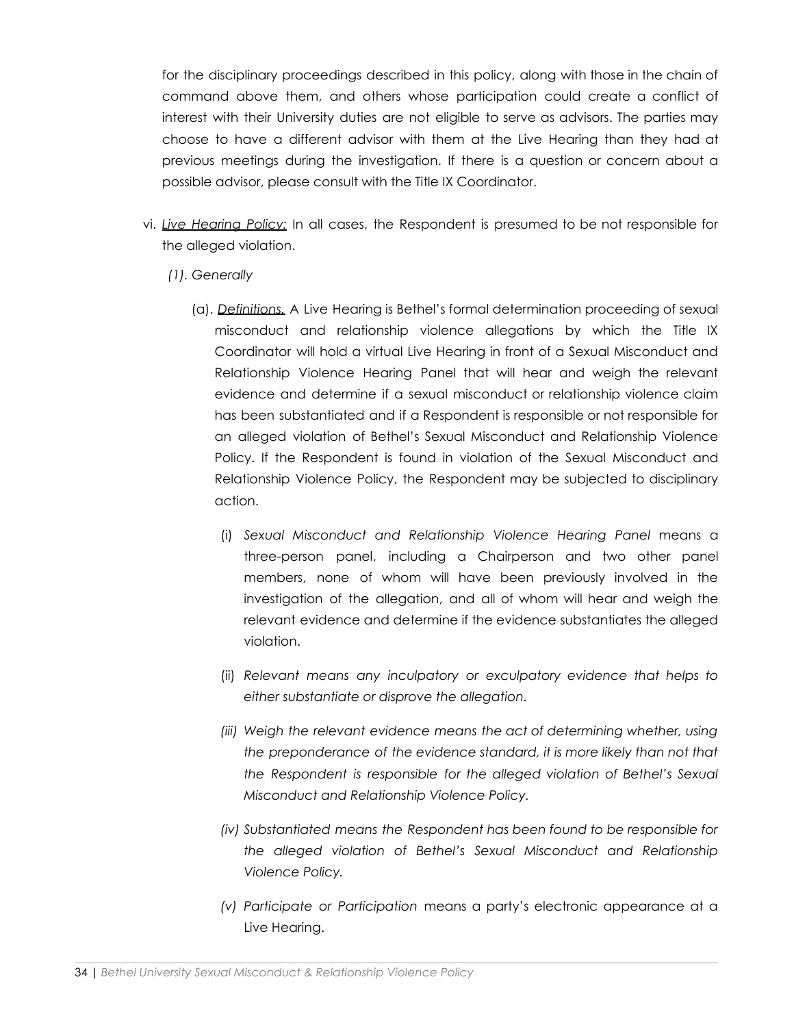for the disciplinary proceedings described in this policy, along with those in the chain of command above them, and others whose participation could create a conflict of interest with their University duties are not eligible to serve as advisors. The parties may choose to have a different advisor with them at the Live Hearing than they had at previous meetings during the investigation. If there is a question or concern about a possible advisor, please consult with the Title IX Coordinator.

- vi. *Live Hearing Policy:* In all cases, the Respondent is presumed to be not responsible for the alleged violation.
	- *(1). Generally*
		- (a). *Definitions.* A Live Hearing is Bethel's formal determination proceeding of sexual misconduct and relationship violence allegations by which the Title IX Coordinator will hold a virtual Live Hearing in front of a Sexual Misconduct and Relationship Violence Hearing Panel that will hear and weigh the relevant evidence and determine if a sexual misconduct or relationship violence claim has been substantiated and if a Respondent is responsible or not responsible for an alleged violation of Bethel's Sexual Misconduct and Relationship Violence Policy. If the Respondent is found in violation of the Sexual Misconduct and Relationship Violence Policy, the Respondent may be subjected to disciplinary action.
			- (i) *Sexual Misconduct and Relationship Violence Hearing Panel* means a three-person panel, including a Chairperson and two other panel members, none of whom will have been previously involved in the investigation of the allegation, and all of whom will hear and weigh the relevant evidence and determine if the evidence substantiates the alleged violation.
			- (ii) *Relevant means any inculpatory or exculpatory evidence that helps to either substantiate or disprove the allegation.*
			- *(iii) Weigh the relevant evidence means the act of determining whether, using the preponderance of the evidence standard, it is more likely than not that the Respondent is responsible for the alleged violation of Bethel's Sexual Misconduct and Relationship Violence Policy.*
			- *(iv) Substantiated means the Respondent has been found to be responsible for the alleged violation of Bethel's Sexual Misconduct and Relationship Violence Policy.*
			- *(v) Participate or Participation* means a party's electronic appearance at a Live Hearing.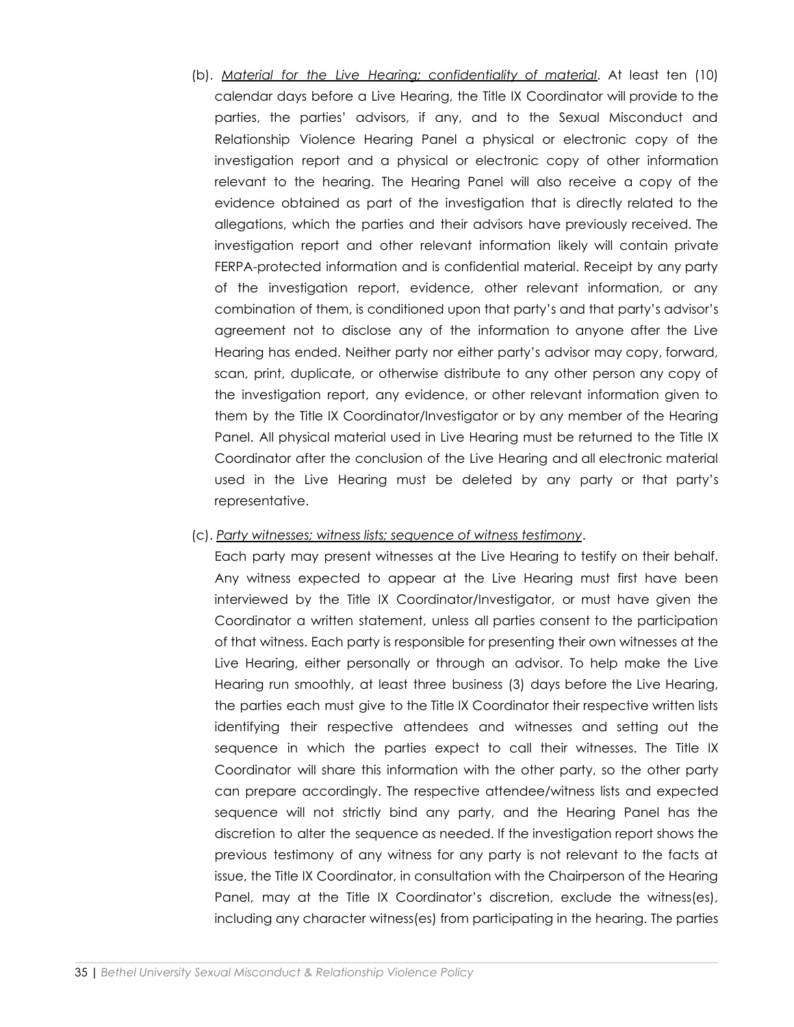(b). *Material for the Live Hearing; confidentiality of material*. At least ten (10) calendar days before a Live Hearing, the Title IX Coordinator will provide to the parties, the parties' advisors, if any, and to the Sexual Misconduct and Relationship Violence Hearing Panel a physical or electronic copy of the investigation report and a physical or electronic copy of other information relevant to the hearing. The Hearing Panel will also receive a copy of the evidence obtained as part of the investigation that is directly related to the allegations, which the parties and their advisors have previously received. The investigation report and other relevant information likely will contain private FERPA-protected information and is confidential material. Receipt by any party of the investigation report, evidence, other relevant information, or any combination of them, is conditioned upon that party's and that party's advisor's agreement not to disclose any of the information to anyone after the Live Hearing has ended. Neither party nor either party's advisor may copy, forward, scan, print, duplicate, or otherwise distribute to any other person any copy of the investigation report, any evidence, or other relevant information given to them by the Title IX Coordinator/Investigator or by any member of the Hearing Panel. All physical material used in Live Hearing must be returned to the Title IX Coordinator after the conclusion of the Live Hearing and all electronic material used in the Live Hearing must be deleted by any party or that party's representative.

#### (c). *Party witnesses; witness lists; sequence of witness testimony*.

Each party may present witnesses at the Live Hearing to testify on their behalf. Any witness expected to appear at the Live Hearing must first have been interviewed by the Title IX Coordinator/Investigator, or must have given the Coordinator a written statement, unless all parties consent to the participation of that witness. Each party is responsible for presenting their own witnesses at the Live Hearing, either personally or through an advisor. To help make the Live Hearing run smoothly, at least three business (3) days before the Live Hearing, the parties each must give to the Title IX Coordinator their respective written lists identifying their respective attendees and witnesses and setting out the sequence in which the parties expect to call their witnesses. The Title IX Coordinator will share this information with the other party, so the other party can prepare accordingly. The respective attendee/witness lists and expected sequence will not strictly bind any party, and the Hearing Panel has the discretion to alter the sequence as needed. If the investigation report shows the previous testimony of any witness for any party is not relevant to the facts at issue, the Title IX Coordinator, in consultation with the Chairperson of the Hearing Panel, may at the Title IX Coordinator's discretion, exclude the witness(es), including any character witness(es) from participating in the hearing. The parties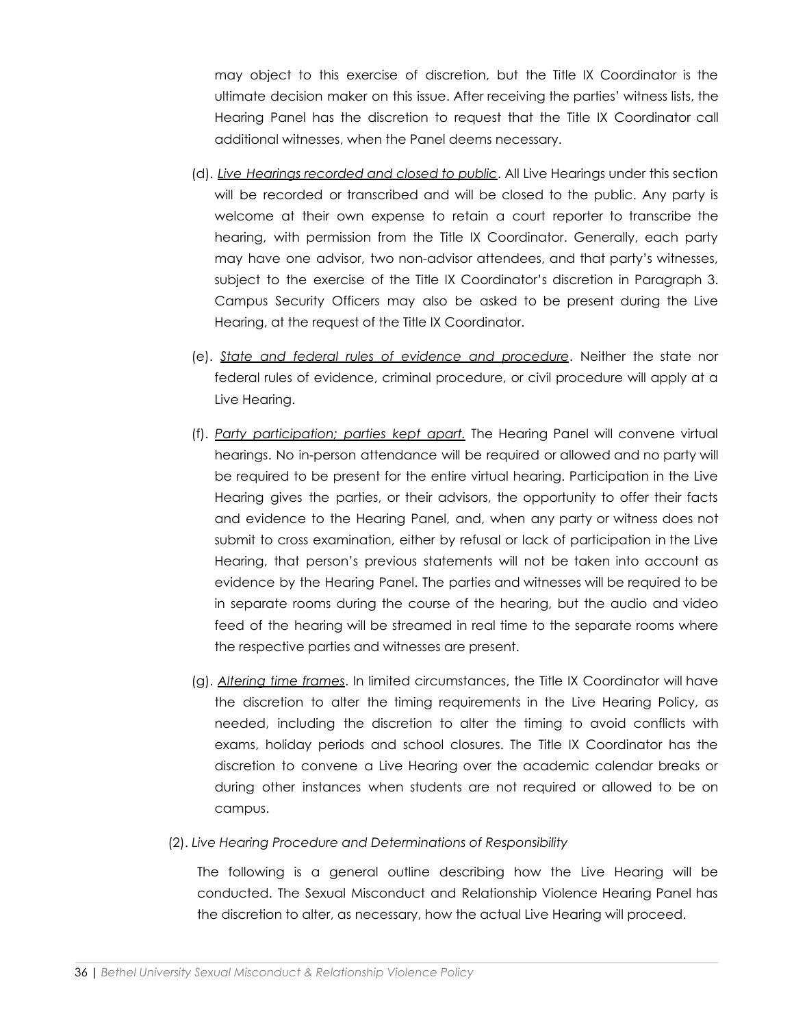may object to this exercise of discretion, but the Title IX Coordinator is the ultimate decision maker on this issue. After receiving the parties' witness lists, the Hearing Panel has the discretion to request that the Title IX Coordinator call additional witnesses, when the Panel deems necessary.

- (d). *Live Hearings recorded and closed to public*. All Live Hearings under this section will be recorded or transcribed and will be closed to the public. Any party is welcome at their own expense to retain a court reporter to transcribe the hearing, with permission from the Title IX Coordinator. Generally, each party may have one advisor, two non-advisor attendees, and that party's witnesses, subject to the exercise of the Title IX Coordinator's discretion in Paragraph 3. Campus Security Officers may also be asked to be present during the Live Hearing, at the request of the Title IX Coordinator.
- (e). *State and federal rules of evidence and procedure*. Neither the state nor federal rules of evidence, criminal procedure, or civil procedure will apply at a Live Hearing.
- (f). *Party participation; parties kept apart.* The Hearing Panel will convene virtual hearings. No in-person attendance will be required or allowed and no party will be required to be present for the entire virtual hearing. Participation in the Live Hearing gives the parties, or their advisors, the opportunity to offer their facts and evidence to the Hearing Panel, and, when any party or witness does not submit to cross examination, either by refusal or lack of participation in the Live Hearing, that person's previous statements will not be taken into account as evidence by the Hearing Panel. The parties and witnesses will be required to be in separate rooms during the course of the hearing, but the audio and video feed of the hearing will be streamed in real time to the separate rooms where the respective parties and witnesses are present.
- (g). *Altering time frames*. In limited circumstances, the Title IX Coordinator will have the discretion to alter the timing requirements in the Live Hearing Policy, as needed, including the discretion to alter the timing to avoid conflicts with exams, holiday periods and school closures. The Title IX Coordinator has the discretion to convene a Live Hearing over the academic calendar breaks or during other instances when students are not required or allowed to be on campus.
- (2). *Live Hearing Procedure and Determinations of Responsibility*

The following is a general outline describing how the Live Hearing will be conducted. The Sexual Misconduct and Relationship Violence Hearing Panel has the discretion to alter, as necessary, how the actual Live Hearing will proceed.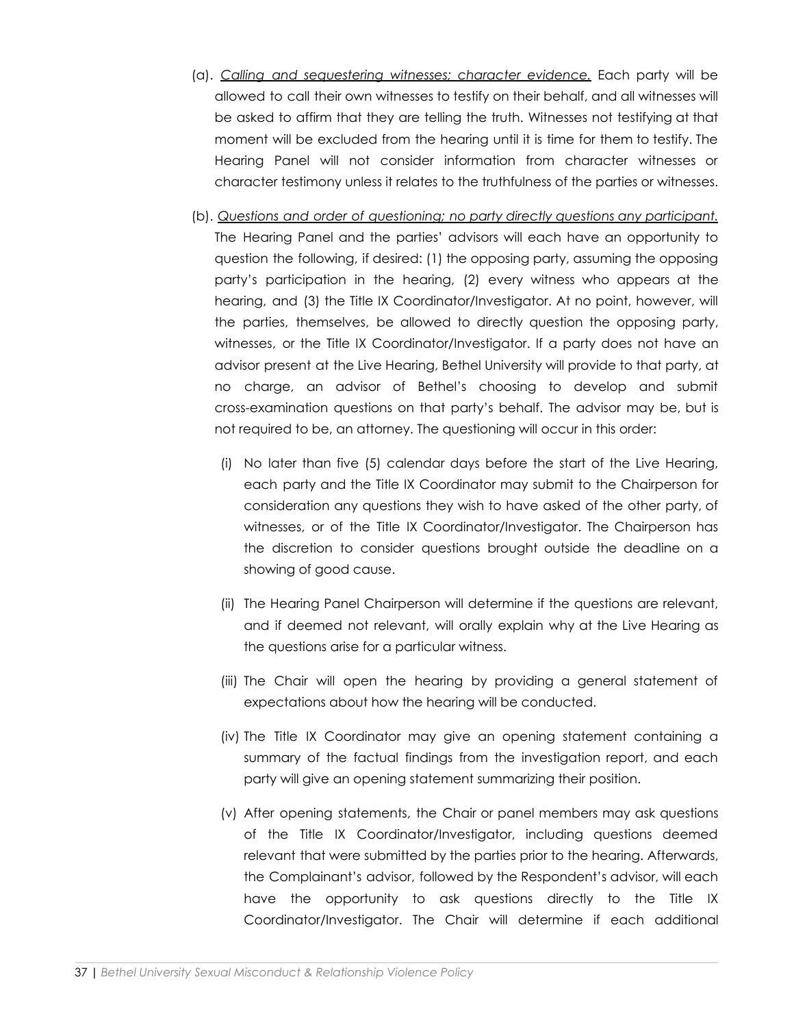- (a). *Calling and sequestering witnesses; character evidence.* Each party will be allowed to call their own witnesses to testify on their behalf, and all witnesses will be asked to affirm that they are telling the truth. Witnesses not testifying at that moment will be excluded from the hearing until it is time for them to testify. The Hearing Panel will not consider information from character witnesses or character testimony unless it relates to the truthfulness of the parties or witnesses.
- (b). *Questions and order of questioning; no party directly questions any participant.* The Hearing Panel and the parties' advisors will each have an opportunity to question the following, if desired: (1) the opposing party, assuming the opposing party's participation in the hearing, (2) every witness who appears at the hearing, and (3) the Title IX Coordinator/Investigator. At no point, however, will the parties, themselves, be allowed to directly question the opposing party, witnesses, or the Title IX Coordinator/Investigator. If a party does not have an advisor present at the Live Hearing, Bethel University will provide to that party, at no charge, an advisor of Bethel's choosing to develop and submit cross-examination questions on that party's behalf. The advisor may be, but is not required to be, an attorney. The questioning will occur in this order:
	- (i) No later than five (5) calendar days before the start of the Live Hearing, each party and the Title IX Coordinator may submit to the Chairperson for consideration any questions they wish to have asked of the other party, of witnesses, or of the Title IX Coordinator/Investigator. The Chairperson has the discretion to consider questions brought outside the deadline on a showing of good cause.
	- (ii) The Hearing Panel Chairperson will determine if the questions are relevant, and if deemed not relevant, will orally explain why at the Live Hearing as the questions arise for a particular witness.
	- (iii) The Chair will open the hearing by providing a general statement of expectations about how the hearing will be conducted.
	- (iv) The Title IX Coordinator may give an opening statement containing a summary of the factual findings from the investigation report, and each party will give an opening statement summarizing their position.
	- (v) After opening statements, the Chair or panel members may ask questions of the Title IX Coordinator/Investigator, including questions deemed relevant that were submitted by the parties prior to the hearing. Afterwards, the Complainant's advisor, followed by the Respondent's advisor, will each have the opportunity to ask questions directly to the Title IX Coordinator/Investigator. The Chair will determine if each additional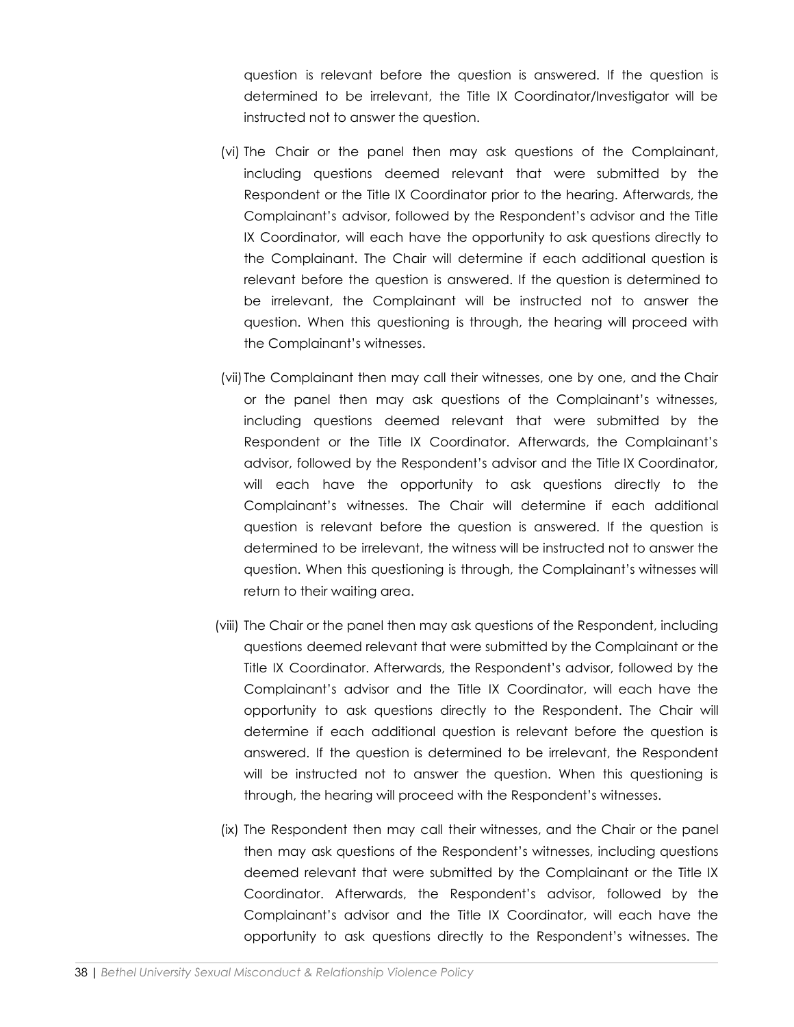question is relevant before the question is answered. If the question is determined to be irrelevant, the Title IX Coordinator/Investigator will be instructed not to answer the question.

- (vi) The Chair or the panel then may ask questions of the Complainant, including questions deemed relevant that were submitted by the Respondent or the Title IX Coordinator prior to the hearing. Afterwards, the Complainant's advisor, followed by the Respondent's advisor and the Title IX Coordinator, will each have the opportunity to ask questions directly to the Complainant. The Chair will determine if each additional question is relevant before the question is answered. If the question is determined to be irrelevant, the Complainant will be instructed not to answer the question. When this questioning is through, the hearing will proceed with the Complainant's witnesses.
- (vii) The Complainant then may call their witnesses, one by one, and the Chair or the panel then may ask questions of the Complainant's witnesses, including questions deemed relevant that were submitted by the Respondent or the Title IX Coordinator. Afterwards, the Complainant's advisor, followed by the Respondent's advisor and the Title IX Coordinator, will each have the opportunity to ask questions directly to the Complainant's witnesses. The Chair will determine if each additional question is relevant before the question is answered. If the question is determined to be irrelevant, the witness will be instructed not to answer the question. When this questioning is through, the Complainant's witnesses will return to their waiting area.
- (viii) The Chair or the panel then may ask questions of the Respondent, including questions deemed relevant that were submitted by the Complainant or the Title IX Coordinator. Afterwards, the Respondent's advisor, followed by the Complainant's advisor and the Title IX Coordinator, will each have the opportunity to ask questions directly to the Respondent. The Chair will determine if each additional question is relevant before the question is answered. If the question is determined to be irrelevant, the Respondent will be instructed not to answer the question. When this questioning is through, the hearing will proceed with the Respondent's witnesses.
- (ix) The Respondent then may call their witnesses, and the Chair or the panel then may ask questions of the Respondent's witnesses, including questions deemed relevant that were submitted by the Complainant or the Title IX Coordinator. Afterwards, the Respondent's advisor, followed by the Complainant's advisor and the Title IX Coordinator, will each have the opportunity to ask questions directly to the Respondent's witnesses. The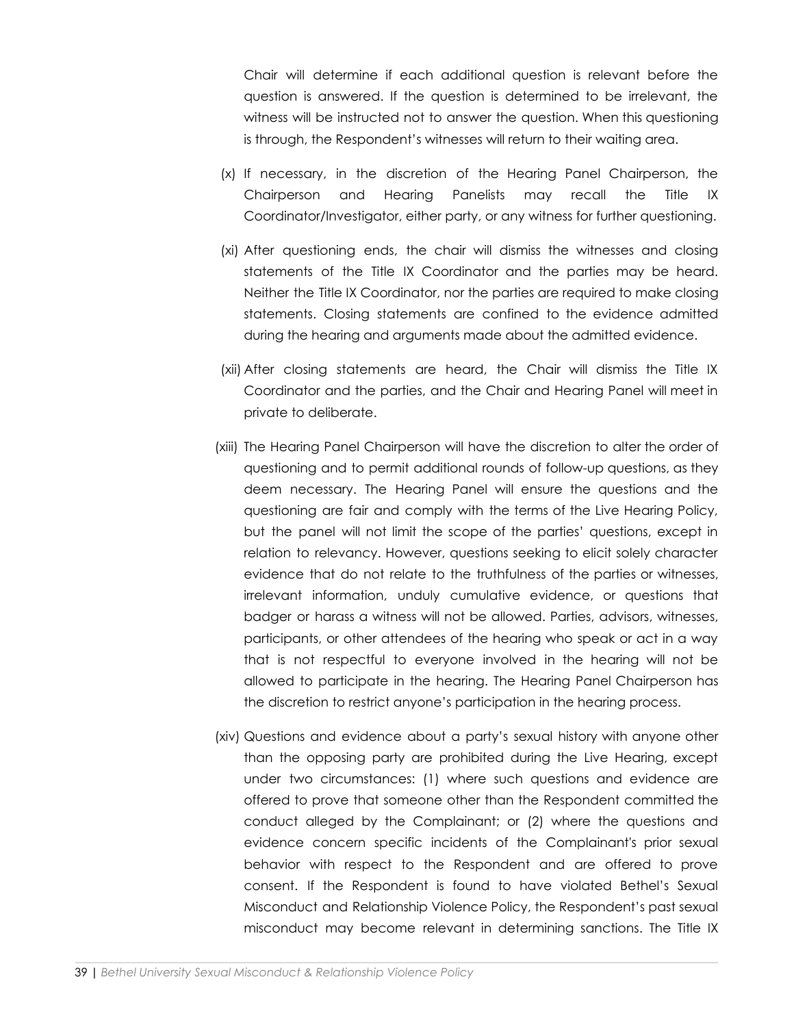Chair will determine if each additional question is relevant before the question is answered. If the question is determined to be irrelevant, the witness will be instructed not to answer the question. When this questioning is through, the Respondent's witnesses will return to their waiting area.

- (x) If necessary, in the discretion of the Hearing Panel Chairperson, the Chairperson and Hearing Panelists may recall the Title IX Coordinator/Investigator, either party, or any witness for further questioning.
- (xi) After questioning ends, the chair will dismiss the witnesses and closing statements of the Title IX Coordinator and the parties may be heard. Neither the Title IX Coordinator, nor the parties are required to make closing statements. Closing statements are confined to the evidence admitted during the hearing and arguments made about the admitted evidence.
- (xii) After closing statements are heard, the Chair will dismiss the Title IX Coordinator and the parties, and the Chair and Hearing Panel will meet in private to deliberate.
- (xiii) The Hearing Panel Chairperson will have the discretion to alter the order of questioning and to permit additional rounds of follow-up questions, as they deem necessary. The Hearing Panel will ensure the questions and the questioning are fair and comply with the terms of the Live Hearing Policy, but the panel will not limit the scope of the parties' questions, except in relation to relevancy. However, questions seeking to elicit solely character evidence that do not relate to the truthfulness of the parties or witnesses, irrelevant information, unduly cumulative evidence, or questions that badger or harass a witness will not be allowed. Parties, advisors, witnesses, participants, or other attendees of the hearing who speak or act in a way that is not respectful to everyone involved in the hearing will not be allowed to participate in the hearing. The Hearing Panel Chairperson has the discretion to restrict anyone's participation in the hearing process.
- (xiv) Questions and evidence about a party's sexual history with anyone other than the opposing party are prohibited during the Live Hearing, except under two circumstances: (1) where such questions and evidence are offered to prove that someone other than the Respondent committed the conduct alleged by the Complainant; or (2) where the questions and evidence concern specific incidents of the Complainant's prior sexual behavior with respect to the Respondent and are offered to prove consent. If the Respondent is found to have violated Bethel's Sexual Misconduct and Relationship Violence Policy, the Respondent's past sexual misconduct may become relevant in determining sanctions. The Title IX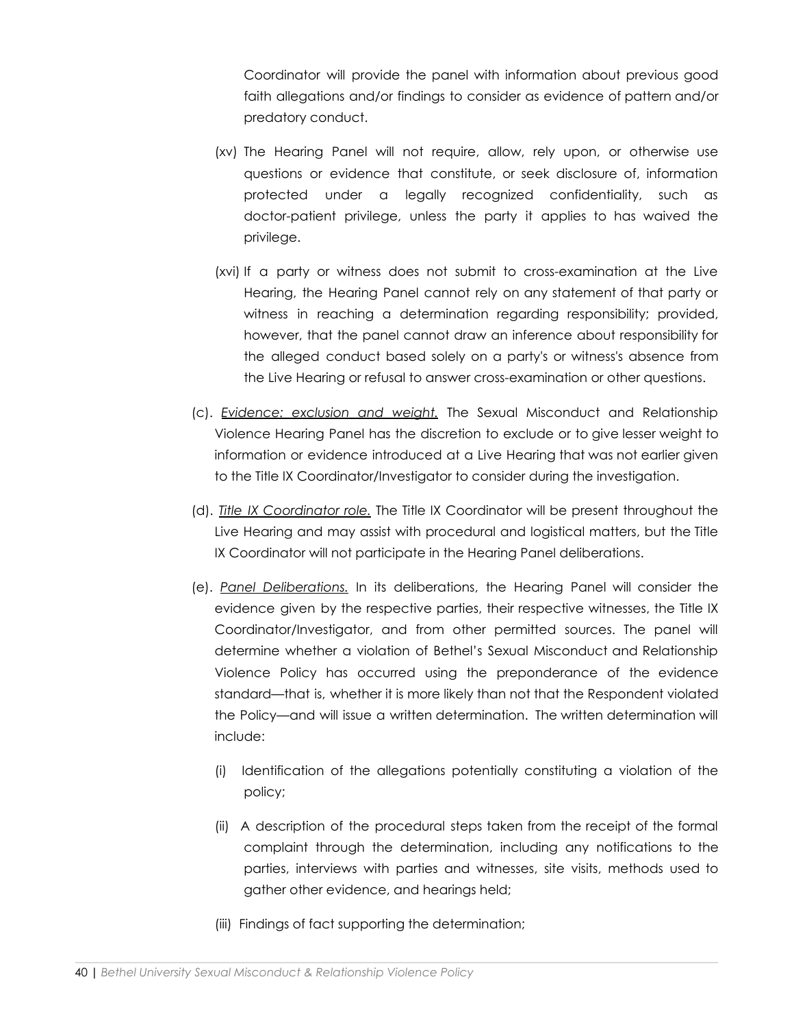Coordinator will provide the panel with information about previous good faith allegations and/or findings to consider as evidence of pattern and/or predatory conduct.

- (xv) The Hearing Panel will not require, allow, rely upon, or otherwise use questions or evidence that constitute, or seek disclosure of, information protected under a legally recognized confidentiality, such as doctor-patient privilege, unless the party it applies to has waived the privilege.
- (xvi) If a party or witness does not submit to cross-examination at the Live Hearing, the Hearing Panel cannot rely on any statement of that party or witness in reaching a determination regarding responsibility; provided, however, that the panel cannot draw an inference about responsibility for the alleged conduct based solely on a party's or witness's absence from the Live Hearing or refusal to answer cross-examination or other questions.
- (c). *Evidence: exclusion and weight.* The Sexual Misconduct and Relationship Violence Hearing Panel has the discretion to exclude or to give lesser weight to information or evidence introduced at a Live Hearing that was not earlier given to the Title IX Coordinator/Investigator to consider during the investigation.
- (d). *Title IX Coordinator role.* The Title IX Coordinator will be present throughout the Live Hearing and may assist with procedural and logistical matters, but the Title IX Coordinator will not participate in the Hearing Panel deliberations.
- (e). *Panel Deliberations.* In its deliberations, the Hearing Panel will consider the evidence given by the respective parties, their respective witnesses, the Title IX Coordinator/Investigator, and from other permitted sources. The panel will determine whether a violation of Bethel's Sexual Misconduct and Relationship Violence Policy has occurred using the preponderance of the evidence standard—that is, whether it is more likely than not that the Respondent violated the Policy—and will issue a written determination. The written determination will include:
	- (i) Identification of the allegations potentially constituting a violation of the policy;
	- (ii) A description of the procedural steps taken from the receipt of the formal complaint through the determination, including any notifications to the parties, interviews with parties and witnesses, site visits, methods used to gather other evidence, and hearings held;
	- (iii) Findings of fact supporting the determination;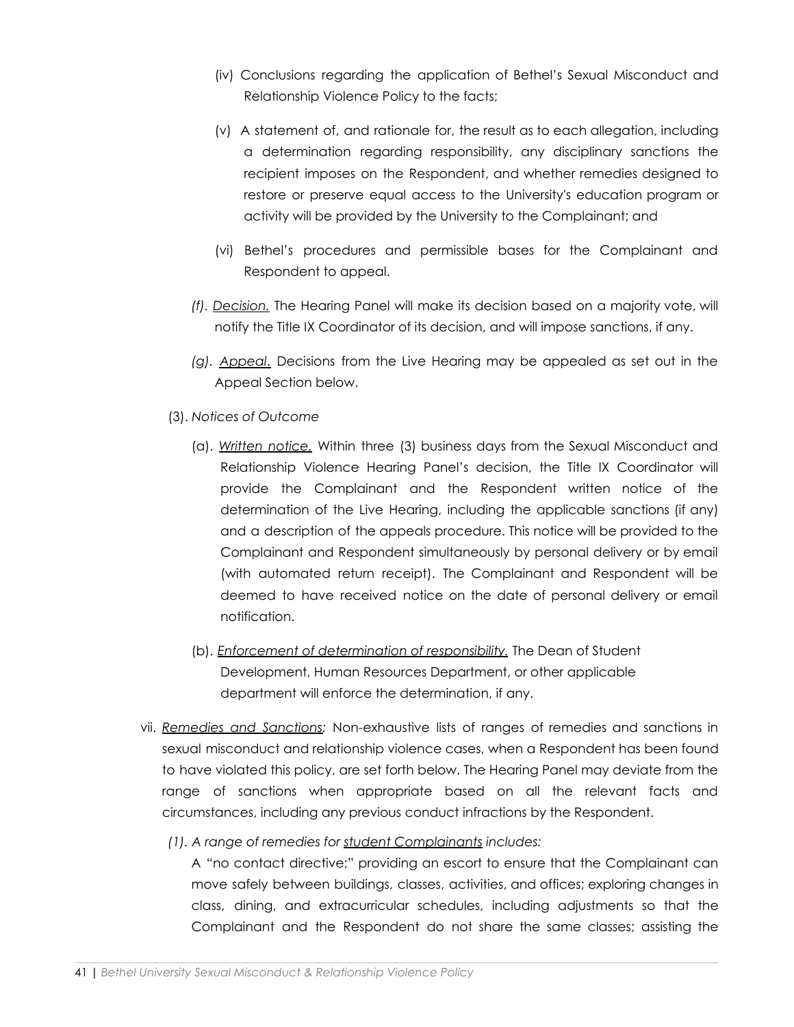- (iv) Conclusions regarding the application of Bethel's Sexual Misconduct and Relationship Violence Policy to the facts;
- (v) A statement of, and rationale for, the result as to each allegation, including a determination regarding responsibility, any disciplinary sanctions the recipient imposes on the Respondent, and whether remedies designed to restore or preserve equal access to the University's education program or activity will be provided by the University to the Complainant; and
- (vi) Bethel's procedures and permissible bases for the Complainant and Respondent to appeal.
- *(f). Decision.* The Hearing Panel will make its decision based on a majority vote, will notify the Title IX Coordinator of its decision, and will impose sanctions, if any.
- *(g). Appeal*. Decisions from the Live Hearing may be appealed as set out in the Appeal Section below.
- (3). *Notices of Outcome*
	- (a). *Written notice.* Within three (3) business days from the Sexual Misconduct and Relationship Violence Hearing Panel's decision, the Title IX Coordinator will provide the Complainant and the Respondent written notice of the determination of the Live Hearing, including the applicable sanctions (if any) and a description of the appeals procedure. This notice will be provided to the Complainant and Respondent simultaneously by personal delivery or by email (with automated return receipt). The Complainant and Respondent will be deemed to have received notice on the date of personal delivery or email notification.
	- (b). *Enforcement of determination of responsibility.* The Dean of Student Development, Human Resources Department, or other applicable department will enforce the determination, if any.
- vii. *Remedies and Sanctions:* Non-exhaustive lists of ranges of remedies and sanctions in sexual misconduct and relationship violence cases, when a Respondent has been found to have violated this policy, are set forth below. The Hearing Panel may deviate from the range of sanctions when appropriate based on all the relevant facts and circumstances, including any previous conduct infractions by the Respondent.
	- *(1). A range of remedies for student Complainants includes:*

A "no contact directive;" providing an escort to ensure that the Complainant can move safely between buildings, classes, activities, and offices; exploring changes in class, dining, and extracurricular schedules, including adjustments so that the Complainant and the Respondent do not share the same classes; assisting the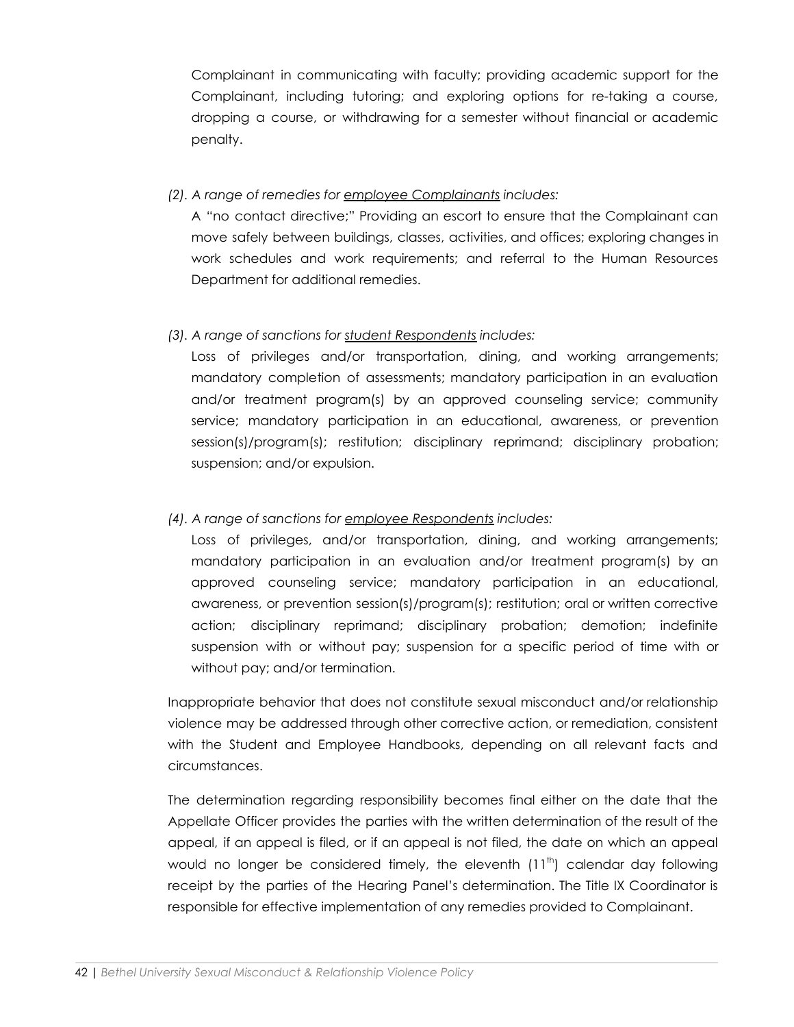Complainant in communicating with faculty; providing academic support for the Complainant, including tutoring; and exploring options for re-taking a course, dropping a course, or withdrawing for a semester without financial or academic penalty.

#### *(2). A range of remedies for employee Complainants includes:*

A "no contact directive;" Providing an escort to ensure that the Complainant can move safely between buildings, classes, activities, and offices; exploring changes in work schedules and work requirements; and referral to the Human Resources Department for additional remedies.

## *(3). A range of sanctions for student Respondents includes:*

Loss of privileges and/or transportation, dining, and working arrangements; mandatory completion of assessments; mandatory participation in an evaluation and/or treatment program(s) by an approved counseling service; community service; mandatory participation in an educational, awareness, or prevention session(s)/program(s); restitution; disciplinary reprimand; disciplinary probation; suspension; and/or expulsion.

#### *(4). A range of sanctions for employee Respondents includes:*

Loss of privileges, and/or transportation, dining, and working arrangements; mandatory participation in an evaluation and/or treatment program(s) by an approved counseling service; mandatory participation in an educational, awareness, or prevention session(s)/program(s); restitution; oral or written corrective action; disciplinary reprimand; disciplinary probation; demotion; indefinite suspension with or without pay; suspension for a specific period of time with or without pay; and/or termination.

Inappropriate behavior that does not constitute sexual misconduct and/or relationship violence may be addressed through other corrective action, or remediation, consistent with the Student and Employee Handbooks, depending on all relevant facts and circumstances.

The determination regarding responsibility becomes final either on the date that the Appellate Officer provides the parties with the written determination of the result of the appeal, if an appeal is filed, or if an appeal is not filed, the date on which an appeal would no longer be considered timely, the eleventh  $(11<sup>th</sup>)$  calendar day following receipt by the parties of the Hearing Panel's determination. The Title IX Coordinator is responsible for effective implementation of any remedies provided to Complainant.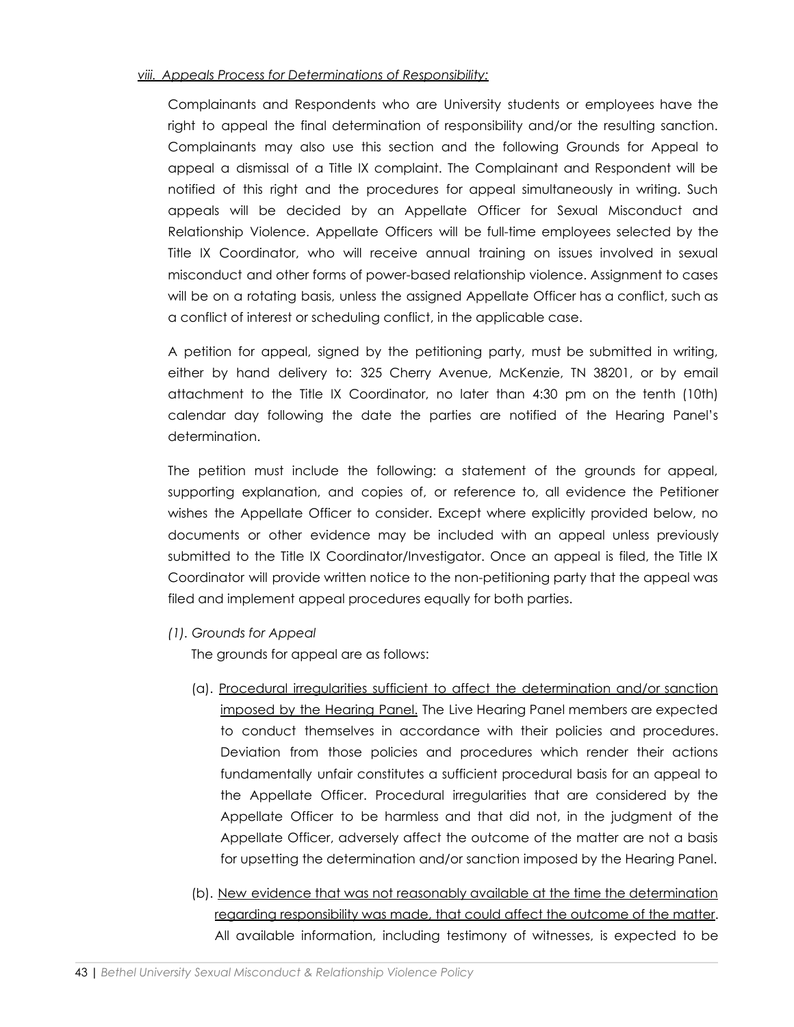#### *viii. Appeals Process for Determinations of Responsibility:*

Complainants and Respondents who are University students or employees have the right to appeal the final determination of responsibility and/or the resulting sanction. Complainants may also use this section and the following Grounds for Appeal to appeal a dismissal of a Title IX complaint. The Complainant and Respondent will be notified of this right and the procedures for appeal simultaneously in writing. Such appeals will be decided by an Appellate Officer for Sexual Misconduct and Relationship Violence. Appellate Officers will be full-time employees selected by the Title IX Coordinator, who will receive annual training on issues involved in sexual misconduct and other forms of power-based relationship violence. Assignment to cases will be on a rotating basis, unless the assigned Appellate Officer has a conflict, such as a conflict of interest or scheduling conflict, in the applicable case.

A petition for appeal, signed by the petitioning party, must be submitted in writing, either by hand delivery to: 325 Cherry Avenue, McKenzie, TN 38201, or by email attachment to the Title IX Coordinator, no later than 4:30 pm on the tenth (10th) calendar day following the date the parties are notified of the Hearing Panel's determination.

The petition must include the following: a statement of the grounds for appeal, supporting explanation, and copies of, or reference to, all evidence the Petitioner wishes the Appellate Officer to consider. Except where explicitly provided below, no documents or other evidence may be included with an appeal unless previously submitted to the Title IX Coordinator/Investigator. Once an appeal is filed, the Title IX Coordinator will provide written notice to the non-petitioning party that the appeal was filed and implement appeal procedures equally for both parties.

*(1). Grounds for Appeal*

The grounds for appeal are as follows:

- (a). Procedural irregularities sufficient to affect the determination and/or sanction imposed by the Hearing Panel. The Live Hearing Panel members are expected to conduct themselves in accordance with their policies and procedures. Deviation from those policies and procedures which render their actions fundamentally unfair constitutes a sufficient procedural basis for an appeal to the Appellate Officer. Procedural irregularities that are considered by the Appellate Officer to be harmless and that did not, in the judgment of the Appellate Officer, adversely affect the outcome of the matter are not a basis for upsetting the determination and/or sanction imposed by the Hearing Panel.
- (b). New evidence that was not reasonably available at the time the determination regarding responsibility was made, that could affect the outcome of the matter. All available information, including testimony of witnesses, is expected to be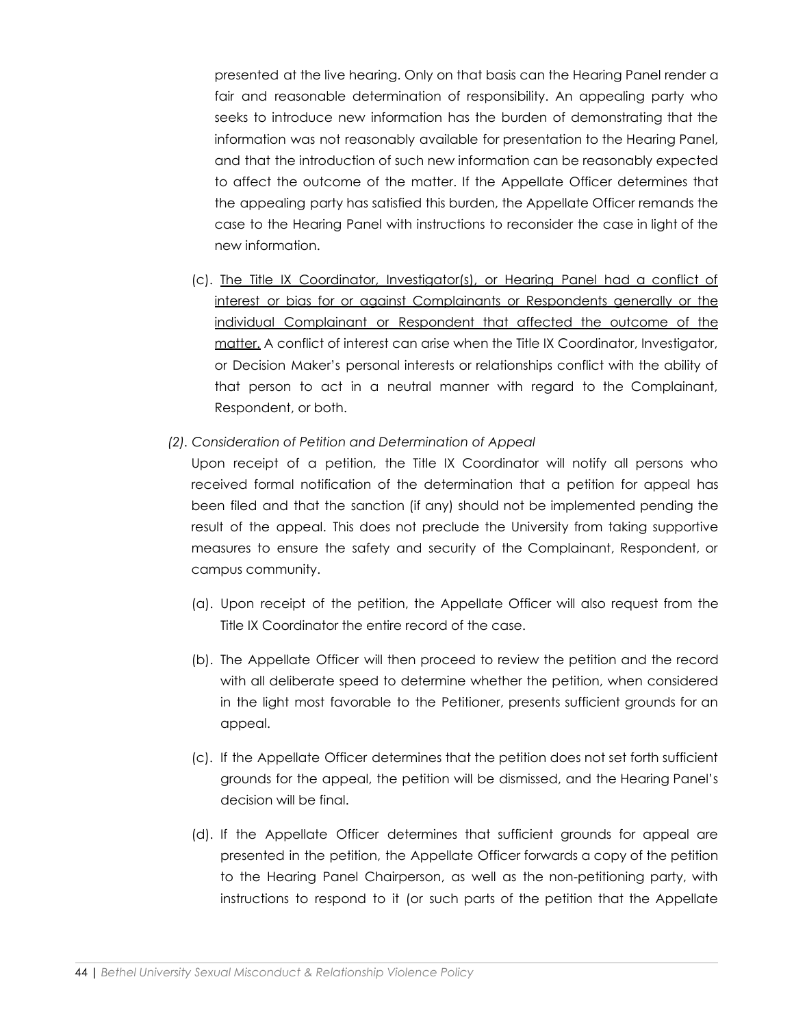presented at the live hearing. Only on that basis can the Hearing Panel render a fair and reasonable determination of responsibility. An appealing party who seeks to introduce new information has the burden of demonstrating that the information was not reasonably available for presentation to the Hearing Panel, and that the introduction of such new information can be reasonably expected to affect the outcome of the matter. If the Appellate Officer determines that the appealing party has satisfied this burden, the Appellate Officer remands the case to the Hearing Panel with instructions to reconsider the case in light of the new information.

- (c). The Title IX Coordinator, Investigator(s), or Hearing Panel had a conflict of interest or bias for or against Complainants or Respondents generally or the individual Complainant or Respondent that affected the outcome of the matter. A conflict of interest can arise when the Title IX Coordinator, Investigator, or Decision Maker's personal interests or relationships conflict with the ability of that person to act in a neutral manner with regard to the Complainant, Respondent, or both.
- *(2). Consideration of Petition and Determination of Appeal*

Upon receipt of a petition, the Title IX Coordinator will notify all persons who received formal notification of the determination that a petition for appeal has been filed and that the sanction (if any) should not be implemented pending the result of the appeal. This does not preclude the University from taking supportive measures to ensure the safety and security of the Complainant, Respondent, or campus community.

- (a). Upon receipt of the petition, the Appellate Officer will also request from the Title IX Coordinator the entire record of the case.
- (b). The Appellate Officer will then proceed to review the petition and the record with all deliberate speed to determine whether the petition, when considered in the light most favorable to the Petitioner, presents sufficient grounds for an appeal.
- (c). If the Appellate Officer determines that the petition does not set forth sufficient grounds for the appeal, the petition will be dismissed, and the Hearing Panel's decision will be final.
- (d). If the Appellate Officer determines that sufficient grounds for appeal are presented in the petition, the Appellate Officer forwards a copy of the petition to the Hearing Panel Chairperson, as well as the non-petitioning party, with instructions to respond to it (or such parts of the petition that the Appellate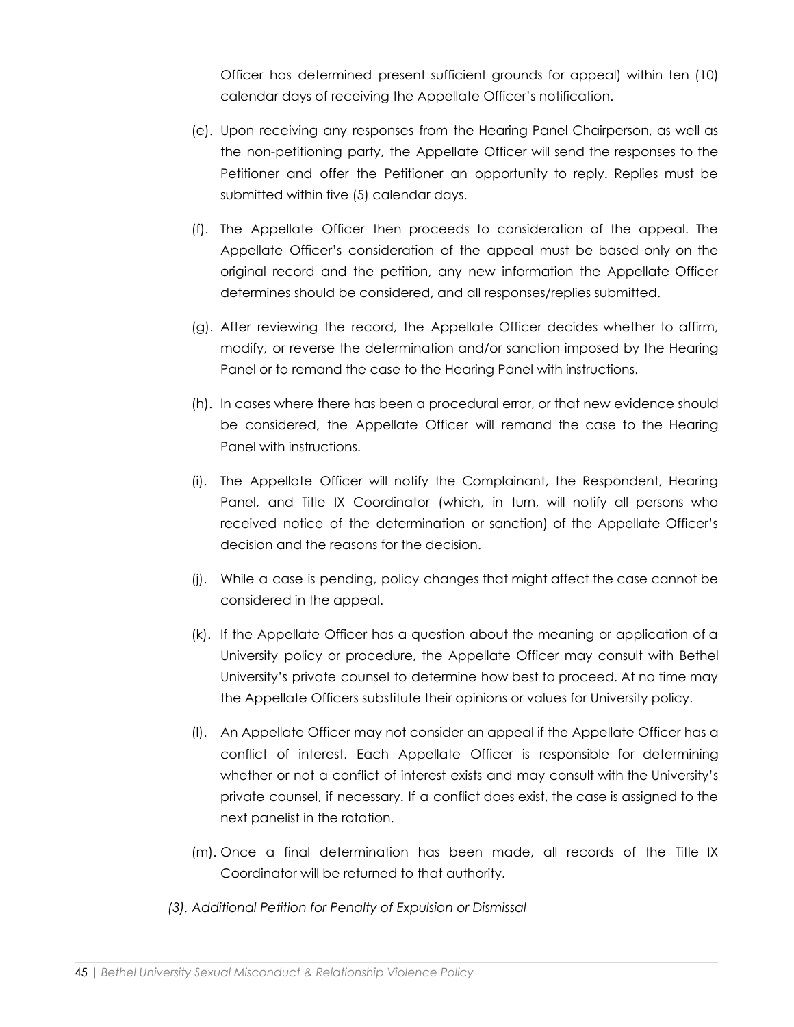Officer has determined present sufficient grounds for appeal) within ten (10) calendar days of receiving the Appellate Officer's notification.

- (e). Upon receiving any responses from the Hearing Panel Chairperson, as well as the non-petitioning party, the Appellate Officer will send the responses to the Petitioner and offer the Petitioner an opportunity to reply. Replies must be submitted within five (5) calendar days.
- (f). The Appellate Officer then proceeds to consideration of the appeal. The Appellate Officer's consideration of the appeal must be based only on the original record and the petition, any new information the Appellate Officer determines should be considered, and all responses/replies submitted.
- (g). After reviewing the record, the Appellate Officer decides whether to affirm, modify, or reverse the determination and/or sanction imposed by the Hearing Panel or to remand the case to the Hearing Panel with instructions.
- (h). In cases where there has been a procedural error, or that new evidence should be considered, the Appellate Officer will remand the case to the Hearing Panel with instructions.
- (i). The Appellate Officer will notify the Complainant, the Respondent, Hearing Panel, and Title IX Coordinator (which, in turn, will notify all persons who received notice of the determination or sanction) of the Appellate Officer's decision and the reasons for the decision.
- (j). While a case is pending, policy changes that might affect the case cannot be considered in the appeal.
- (k). If the Appellate Officer has a question about the meaning or application of a University policy or procedure, the Appellate Officer may consult with Bethel University's private counsel to determine how best to proceed. At no time may the Appellate Officers substitute their opinions or values for University policy.
- (l). An Appellate Officer may not consider an appeal if the Appellate Officer has a conflict of interest. Each Appellate Officer is responsible for determining whether or not a conflict of interest exists and may consult with the University's private counsel, if necessary. If a conflict does exist, the case is assigned to the next panelist in the rotation.
- (m). Once a final determination has been made, all records of the Title IX Coordinator will be returned to that authority.
- *(3). Additional Petition for Penalty of Expulsion or Dismissal*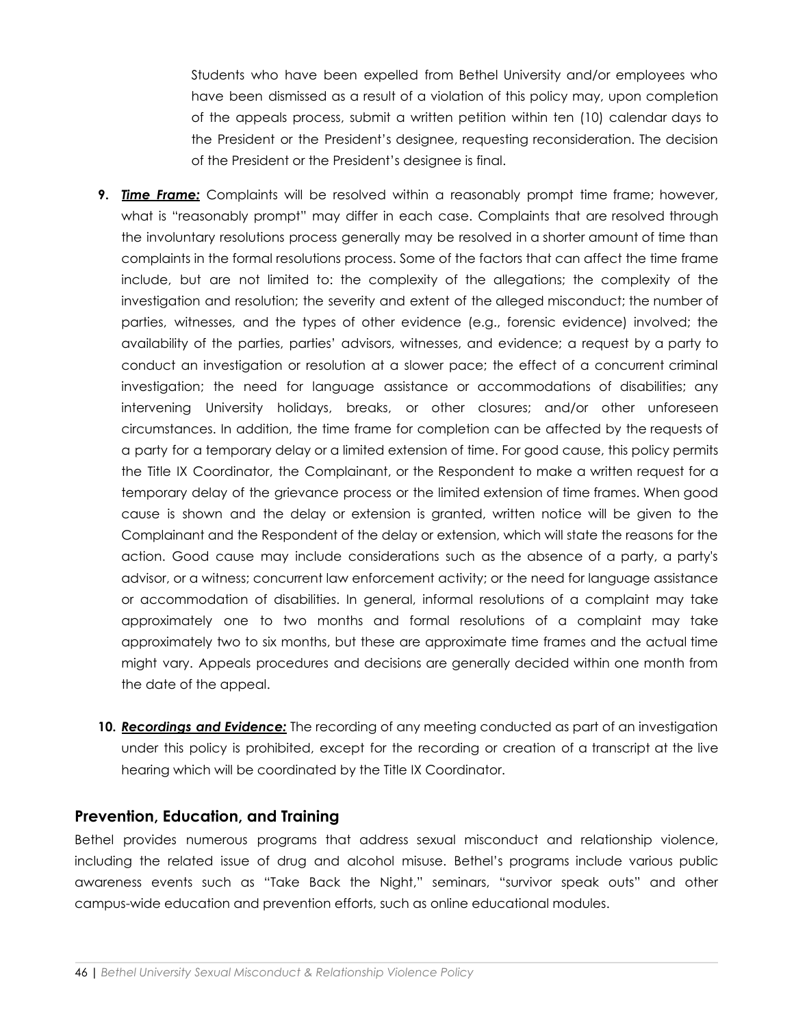Students who have been expelled from Bethel University and/or employees who have been dismissed as a result of a violation of this policy may, upon completion of the appeals process, submit a written petition within ten (10) calendar days to the President or the President's designee, requesting reconsideration. The decision of the President or the President's designee is final.

- **9.** *Time Frame:* Complaints will be resolved within a reasonably prompt time frame; however, what is "reasonably prompt" may differ in each case. Complaints that are resolved through the involuntary resolutions process generally may be resolved in a shorter amount of time than complaints in the formal resolutions process. Some of the factors that can affect the time frame include, but are not limited to: the complexity of the allegations; the complexity of the investigation and resolution; the severity and extent of the alleged misconduct; the number of parties, witnesses, and the types of other evidence (e.g., forensic evidence) involved; the availability of the parties, parties' advisors, witnesses, and evidence; a request by a party to conduct an investigation or resolution at a slower pace; the effect of a concurrent criminal investigation; the need for language assistance or accommodations of disabilities; any intervening University holidays, breaks, or other closures; and/or other unforeseen circumstances. In addition, the time frame for completion can be affected by the requests of a party for a temporary delay or a limited extension of time. For good cause, this policy permits the Title IX Coordinator, the Complainant, or the Respondent to make a written request for a temporary delay of the grievance process or the limited extension of time frames. When good cause is shown and the delay or extension is granted, written notice will be given to the Complainant and the Respondent of the delay or extension, which will state the reasons for the action. Good cause may include considerations such as the absence of a party, a party's advisor, or a witness; concurrent law enforcement activity; or the need for language assistance or accommodation of disabilities. In general, informal resolutions of a complaint may take approximately one to two months and formal resolutions of a complaint may take approximately two to six months, but these are approximate time frames and the actual time might vary. Appeals procedures and decisions are generally decided within one month from the date of the appeal.
- **10.** *Recordings and Evidence:* The recording of any meeting conducted as part of an investigation under this policy is prohibited, except for the recording or creation of a transcript at the live hearing which will be coordinated by the Title IX Coordinator.

# **Prevention, Education, and Training**

Bethel provides numerous programs that address sexual misconduct and relationship violence, including the related issue of drug and alcohol misuse. Bethel's programs include various public awareness events such as "Take Back the Night," seminars, "survivor speak outs" and other campus-wide education and prevention efforts, such as online educational modules.